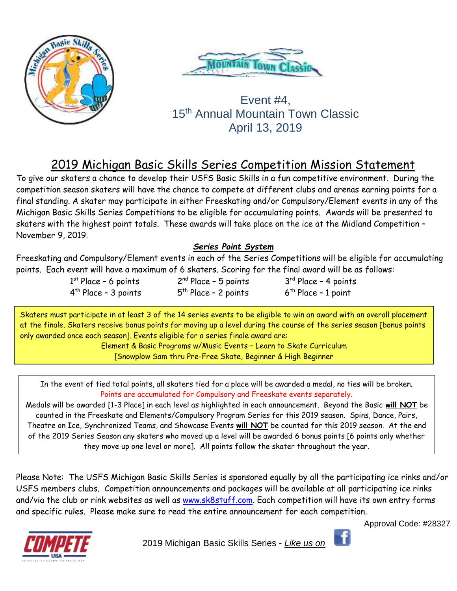



# Event #4, 15<sup>th</sup> Annual Mountain Town Classic April 13, 2019

# 2019 Michigan Basic Skills Series Competition Mission Statement

To give our skaters a chance to develop their USFS Basic Skills in a fun competitive environment. During the competition season skaters will have the chance to compete at different clubs and arenas earning points for a final standing. A skater may participate in either Freeskating and/or Compulsory/Element events in any of the Michigan Basic Skills Series Competitions to be eligible for accumulating points. Awards will be presented to skaters with the highest point totals. These awards will take place on the ice at the Midland Competition – November 9, 2019.

# *Series Point System*

Freeskating and Compulsory/Element events in each of the Series Competitions will be eligible for accumulating points. Each event will have a maximum of 6 skaters. Scoring for the final award will be as follows:

| $1st$ Place - 6 points           | $2nd Place - 5 points$ | $3rd Place - 4 points$ |
|----------------------------------|------------------------|------------------------|
| 4 <sup>th</sup> Place – 3 points | $5th$ Place - 2 points | $6th$ Place - 1 point  |

Skaters must participate in at least 3 of the 14 series events to be eligible to win an award with an overall placement at the finale. Skaters receive bonus points for moving up a level during the course of the series season [bonus points only awarded once each season]. Events eligible for a series finale award are:

> Element & Basic Programs w/Music Events – Learn to Skate Curriculum [Snowplow Sam thru Pre-Free Skate, Beginner & High Beginner

In the event of tied total points, all skaters tied for a place will be awarded a medal, no ties will be broken. Points are accumulated for Compulsory and Freeskate events separately.

Medals will be awarded [1-3 Place] in each level as highlighted in each announcement. Beyond the Basic **will NOT** be counted in the Freeskate and Elements/Compulsory Program Series for this 2019 season. Spins, Dance, Pairs, Theatre on Ice, Synchronized Teams, and Showcase Events **will NOT** be counted for this 2019 season. At the end of the 2019 Series Season any skaters who moved up a level will be awarded 6 bonus points [6 points only whether they move up one level or more]. All points follow the skater throughout the year.

Please Note: The USFS Michigan Basic Skills Series is sponsored equally by all the participating ice rinks and/or USFS members clubs. Competition announcements and packages will be available at all participating ice rinks and/via the club or rink websites as well as [www.sk8stuff.com.](http://www.sk8stuff.com/) Each competition will have its own entry forms and specific rules. Please make sure to read the entire announcement for each competition.





2019 Michigan Basic Skills Series - *Like us on*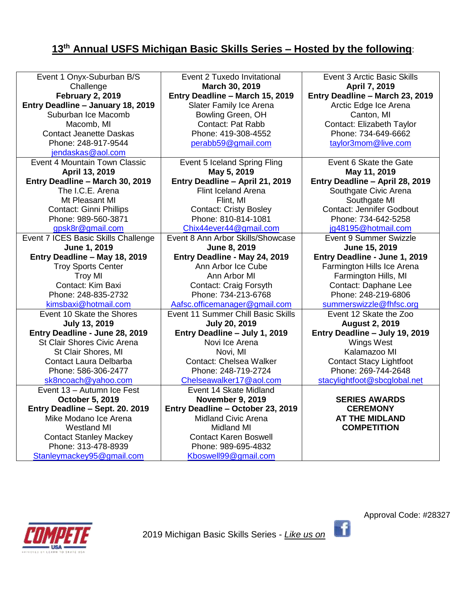# **13 th Annual USFS Michigan Basic Skills Series – Hosted by the following**:

| Event 1 Onyx-Suburban B/S           | Event 2 Tuxedo Invitational        | <b>Event 3 Arctic Basic Skills</b> |  |
|-------------------------------------|------------------------------------|------------------------------------|--|
| Challenge                           | March 30, 2019                     | April 7, 2019                      |  |
| <b>February 2, 2019</b>             | Entry Deadline - March 15, 2019    | Entry Deadline - March 23, 2019    |  |
| Entry Deadline - January 18, 2019   | Slater Family Ice Arena            | Arctic Edge Ice Arena              |  |
| Suburban Ice Macomb                 | Bowling Green, OH                  | Canton, MI                         |  |
| Macomb, MI                          | <b>Contact: Pat Rabb</b>           | Contact: Elizabeth Taylor          |  |
| <b>Contact Jeanette Daskas</b>      | Phone: 419-308-4552                | Phone: 734-649-6662                |  |
| Phone: 248-917-9544                 | perabb59@gmail.com                 | taylor3mom@live.com                |  |
| jendaskas@aol.com                   |                                    |                                    |  |
| Event 4 Mountain Town Classic       | Event 5 Iceland Spring Fling       | Event 6 Skate the Gate             |  |
| April 13, 2019                      | May 5, 2019                        | May 11, 2019                       |  |
| Entry Deadline - March 30, 2019     | Entry Deadline - April 21, 2019    | Entry Deadline - April 28, 2019    |  |
| The I.C.E. Arena                    | Flint Iceland Arena                | Southgate Civic Arena              |  |
| Mt Pleasant MI                      | Flint, MI                          | Southgate MI                       |  |
| Contact: Ginni Phillips             | <b>Contact: Cristy Bosley</b>      | <b>Contact: Jennifer Godbout</b>   |  |
| Phone: 989-560-3871                 | Phone: 810-814-1081                | Phone: 734-642-5258                |  |
| gpsk8r@gmail.com                    | Chix44ever44@gmail.com             | jg48195@hotmail.com                |  |
| Event 7 ICES Basic Skills Challenge | Event 8 Ann Arbor Skills/Showcase  | Event 9 Summer Swizzle             |  |
| June 1, 2019                        | June 8, 2019                       | June 15, 2019                      |  |
| Entry Deadline - May 18, 2019       | Entry Deadline - May 24, 2019      | Entry Deadline - June 1, 2019      |  |
| <b>Troy Sports Center</b>           | Ann Arbor Ice Cube                 | Farmington Hills Ice Arena         |  |
| <b>Troy MI</b>                      | Ann Arbor MI                       | Farmington Hills, MI               |  |
| Contact: Kim Baxi                   | <b>Contact: Craig Forsyth</b>      | Contact: Daphane Lee               |  |
| Phone: 248-835-2732                 | Phone: 734-213-6768                | Phone: 248-219-6806                |  |
| kimsbaxi@hotmail.com                | Aafsc.officemanager@gmail.com      | summerswizzle@fhfsc.org            |  |
| Event 10 Skate the Shores           | Event 11 Summer Chill Basic Skills | Event 12 Skate the Zoo             |  |
| <b>July 13, 2019</b>                | <b>July 20, 2019</b>               | <b>August 2, 2019</b>              |  |
| Entry Deadline - June 28, 2019      | Entry Deadline - July 1, 2019      | Entry Deadline - July 19, 2019     |  |
| St Clair Shores Civic Arena         | Novi Ice Arena                     | <b>Wings West</b>                  |  |
| St Clair Shores, MI                 | Novi, MI                           | Kalamazoo MI                       |  |
| Contact Laura Delbarba              | <b>Contact: Chelsea Walker</b>     | <b>Contact Stacy Lightfoot</b>     |  |
| Phone: 586-306-2477                 | Phone: 248-719-2724                | Phone: 269-744-2648                |  |
| sk8ncoach@yahoo.com                 | Chelseawalker17@aol.com            | stacylightfoot@sbcglobal.net       |  |
| Event 13 - Autumn Ice Fest          | Event 14 Skate Midland             |                                    |  |
| October 5, 2019                     | <b>November 9, 2019</b>            | <b>SERIES AWARDS</b>               |  |
| Entry Deadline - Sept. 20. 2019     | Entry Deadline - October 23, 2019  | <b>CEREMONY</b>                    |  |
| Mike Modano Ice Arena               | <b>Midland Civic Arena</b>         | <b>AT THE MIDLAND</b>              |  |
| <b>Westland MI</b>                  | <b>Midland MI</b>                  | <b>COMPETITION</b>                 |  |
| <b>Contact Stanley Mackey</b>       | <b>Contact Karen Boswell</b>       |                                    |  |
| Phone: 313-478-8939                 | Phone: 989-695-4832                |                                    |  |
| Stanleymackey95@gmail.com           | Kboswell99@gmail.com               |                                    |  |



 $\vert$  f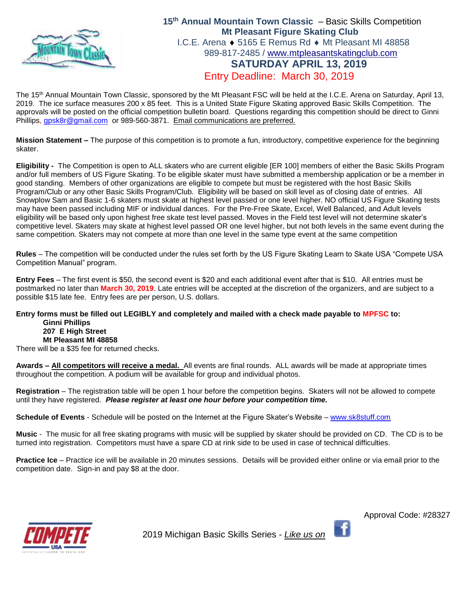

## **15th Annual Mountain Town Classic** – Basic Skills Competition **Mt Pleasant Figure Skating Club** I.C.E. Arena  $\triangle$  5165 E Remus Rd  $\triangle$  Mt Pleasant MI 48858 989-817-2485 / [www.mtpleasantskatingclub.com](http://www.mtpleasantskatingclub.com/) **SATURDAY APRIL 13, 2019** Entry Deadline: March 30, 2019

The 15th Annual Mountain Town Classic, sponsored by the Mt Pleasant FSC will be held at the I.C.E. Arena on Saturday, April 13, 2019. The ice surface measures 200 x 85 feet. This is a United State Figure Skating approved Basic Skills Competition. The approvals will be posted on the official competition bulletin board. Questions regarding this competition should be direct to Ginni Phillips, [gpsk8r@gmail.com](mailto:gpsk8r@gmail.com) or 989-560-3871. Email communications are preferred.

**Mission Statement –** The purpose of this competition is to promote a fun, introductory, competitive experience for the beginning skater.

**Eligibility -** The Competition is open to ALL skaters who are current eligible [ER 100] members of either the Basic Skills Program and/or full members of US Figure Skating. To be eligible skater must have submitted a membership application or be a member in good standing. Members of other organizations are eligible to compete but must be registered with the host Basic Skills Program/Club or any other Basic Skills Program/Club. Eligibility will be based on skill level as of closing date of entries. All Snowplow Sam and Basic 1-6 skaters must skate at highest level passed or one level higher. NO official US Figure Skating tests may have been passed including MIF or individual dances. For the Pre-Free Skate, Excel, Well Balanced, and Adult levels eligibility will be based only upon highest free skate test level passed. Moves in the Field test level will not determine skater's competitive level. Skaters may skate at highest level passed OR one level higher, but not both levels in the same event during the same competition. Skaters may not compete at more than one level in the same type event at the same competition

**Rules** – The competition will be conducted under the rules set forth by the US Figure Skating Learn to Skate USA "Compete USA Competition Manual" program.

**Entry Fees** – The first event is \$50, the second event is \$20 and each additional event after that is \$10. All entries must be postmarked no later than **March 30, 2019**. Late entries will be accepted at the discretion of the organizers, and are subject to a possible \$15 late fee. Entry fees are per person, U.S. dollars.

### **Entry forms must be filled out LEGIBLY and completely and mailed with a check made payable to MPFSC to: Ginni Phillips 207 E High Street Mt Pleasant MI 48858**

There will be a \$35 fee for returned checks.

**Awards – All competitors will receive a medal.** All events are final rounds. ALL awards will be made at appropriate times throughout the competition. A podium will be available for group and individual photos.

**Registration** – The registration table will be open 1 hour before the competition begins. Skaters will not be allowed to compete until they have registered. *Please register at least one hour before your competition time.* 

**Schedule of Events** - Schedule will be posted on the Internet at the Figure Skater's Website – [www.sk8stuff.com](http://www.sk8stuff.com/)

**Music** - The music for all free skating programs with music will be supplied by skater should be provided on CD. The CD is to be turned into registration. Competitors must have a spare CD at rink side to be used in case of technical difficulties.

**Practice Ice** – Practice ice will be available in 20 minutes sessions. Details will be provided either online or via email prior to the competition date. Sign-in and pay \$8 at the door.



2019 Michigan Basic Skills Series - *Like us on*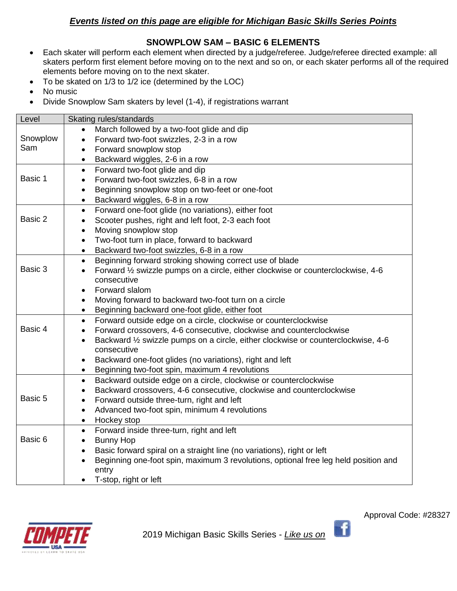# *Events listed on this page are eligible for Michigan Basic Skills Series Points*

# **SNOWPLOW SAM – BASIC 6 ELEMENTS**

- Each skater will perform each element when directed by a judge/referee. Judge/referee directed example: all skaters perform first element before moving on to the next and so on, or each skater performs all of the required elements before moving on to the next skater.
- To be skated on 1/3 to 1/2 ice (determined by the LOC)
- No music
- Divide Snowplow Sam skaters by level (1-4), if registrations warrant

| Level    | Skating rules/standards                                                                          |  |  |
|----------|--------------------------------------------------------------------------------------------------|--|--|
|          | March followed by a two-foot glide and dip                                                       |  |  |
| Snowplow | Forward two-foot swizzles, 2-3 in a row<br>$\bullet$                                             |  |  |
| Sam      | Forward snowplow stop<br>$\bullet$                                                               |  |  |
|          | Backward wiggles, 2-6 in a row<br>$\bullet$                                                      |  |  |
|          | Forward two-foot glide and dip<br>$\bullet$                                                      |  |  |
| Basic 1  | Forward two-foot swizzles, 6-8 in a row<br>$\bullet$                                             |  |  |
|          | Beginning snowplow stop on two-feet or one-foot<br>$\bullet$                                     |  |  |
|          | Backward wiggles, 6-8 in a row<br>$\bullet$                                                      |  |  |
|          | Forward one-foot glide (no variations), either foot<br>$\bullet$                                 |  |  |
| Basic 2  | Scooter pushes, right and left foot, 2-3 each foot<br>$\bullet$                                  |  |  |
|          | Moving snowplow stop<br>$\bullet$                                                                |  |  |
|          | Two-foot turn in place, forward to backward<br>$\bullet$                                         |  |  |
|          | Backward two-foot swizzles, 6-8 in a row<br>$\bullet$                                            |  |  |
|          | Beginning forward stroking showing correct use of blade<br>$\bullet$                             |  |  |
| Basic 3  | Forward 1/2 swizzle pumps on a circle, either clockwise or counterclockwise, 4-6<br>$\bullet$    |  |  |
|          | consecutive                                                                                      |  |  |
|          | Forward slalom<br>$\bullet$                                                                      |  |  |
|          | Moving forward to backward two-foot turn on a circle<br>$\bullet$                                |  |  |
|          | Beginning backward one-foot glide, either foot<br>$\bullet$                                      |  |  |
|          | Forward outside edge on a circle, clockwise or counterclockwise<br>$\bullet$                     |  |  |
| Basic 4  | Forward crossovers, 4-6 consecutive, clockwise and counterclockwise<br>$\bullet$                 |  |  |
|          | Backward 1/2 swizzle pumps on a circle, either clockwise or counterclockwise, 4-6<br>$\bullet$   |  |  |
|          | consecutive                                                                                      |  |  |
|          | Backward one-foot glides (no variations), right and left<br>$\bullet$                            |  |  |
|          | Beginning two-foot spin, maximum 4 revolutions<br>$\bullet$                                      |  |  |
|          | Backward outside edge on a circle, clockwise or counterclockwise<br>$\bullet$                    |  |  |
| Basic 5  | Backward crossovers, 4-6 consecutive, clockwise and counterclockwise<br>$\bullet$                |  |  |
|          | Forward outside three-turn, right and left<br>$\bullet$                                          |  |  |
|          | Advanced two-foot spin, minimum 4 revolutions<br>$\bullet$                                       |  |  |
|          | Hockey stop<br>$\bullet$                                                                         |  |  |
| Basic 6  | Forward inside three-turn, right and left<br>$\bullet$                                           |  |  |
|          | <b>Bunny Hop</b><br>$\bullet$                                                                    |  |  |
|          | Basic forward spiral on a straight line (no variations), right or left<br>$\bullet$              |  |  |
|          | Beginning one-foot spin, maximum 3 revolutions, optional free leg held position and<br>$\bullet$ |  |  |
|          | entry                                                                                            |  |  |
|          | T-stop, right or left<br>$\bullet$                                                               |  |  |

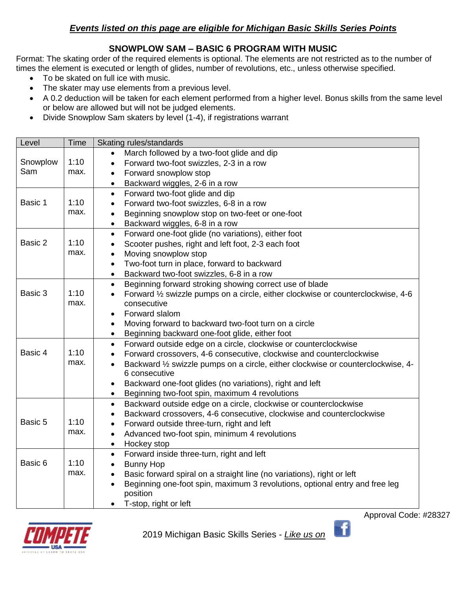# *Events listed on this page are eligible for Michigan Basic Skills Series Points*

# **SNOWPLOW SAM – BASIC 6 PROGRAM WITH MUSIC**

Format: The skating order of the required elements is optional. The elements are not restricted as to the number of times the element is executed or length of glides, number of revolutions, etc., unless otherwise specified.

- To be skated on full ice with music.
- The skater may use elements from a previous level.
- A 0.2 deduction will be taken for each element performed from a higher level. Bonus skills from the same level or below are allowed but will not be judged elements.
- Divide Snowplow Sam skaters by level (1-4), if registrations warrant

| Level    | <b>Time</b> | Skating rules/standards                                                                                        |  |
|----------|-------------|----------------------------------------------------------------------------------------------------------------|--|
|          |             | March followed by a two-foot glide and dip                                                                     |  |
| Snowplow | 1:10        | Forward two-foot swizzles, 2-3 in a row                                                                        |  |
| Sam      | max.        | Forward snowplow stop<br>$\bullet$                                                                             |  |
|          |             | Backward wiggles, 2-6 in a row                                                                                 |  |
|          |             | Forward two-foot glide and dip<br>$\bullet$                                                                    |  |
| Basic 1  | 1:10        | Forward two-foot swizzles, 6-8 in a row<br>$\bullet$                                                           |  |
|          | max.        | Beginning snowplow stop on two-feet or one-foot<br>$\bullet$                                                   |  |
|          |             | Backward wiggles, 6-8 in a row<br>$\bullet$                                                                    |  |
|          |             | Forward one-foot glide (no variations), either foot<br>$\bullet$                                               |  |
| Basic 2  | 1:10        | Scooter pushes, right and left foot, 2-3 each foot<br>$\bullet$                                                |  |
|          | max.        | Moving snowplow stop<br>$\bullet$                                                                              |  |
|          |             | Two-foot turn in place, forward to backward<br>$\bullet$                                                       |  |
|          |             | Backward two-foot swizzles, 6-8 in a row<br>$\bullet$                                                          |  |
|          |             | Beginning forward stroking showing correct use of blade<br>$\bullet$                                           |  |
| Basic 3  | 1:10        | Forward $\frac{1}{2}$ swizzle pumps on a circle, either clockwise or counterclockwise, 4-6<br>$\bullet$        |  |
|          | max.        | consecutive                                                                                                    |  |
|          |             | Forward slalom<br>$\bullet$                                                                                    |  |
|          |             | Moving forward to backward two-foot turn on a circle<br>$\bullet$                                              |  |
|          |             | Beginning backward one-foot glide, either foot<br>$\bullet$                                                    |  |
|          |             | Forward outside edge on a circle, clockwise or counterclockwise<br>$\bullet$                                   |  |
| Basic 4  | 1:10        | Forward crossovers, 4-6 consecutive, clockwise and counterclockwise<br>$\bullet$                               |  |
|          | max.        | Backward 1/2 swizzle pumps on a circle, either clockwise or counterclockwise, 4-<br>$\bullet$<br>6 consecutive |  |
|          |             | Backward one-foot glides (no variations), right and left<br>$\bullet$                                          |  |
|          |             | Beginning two-foot spin, maximum 4 revolutions                                                                 |  |
|          |             | Backward outside edge on a circle, clockwise or counterclockwise<br>$\bullet$                                  |  |
|          |             | Backward crossovers, 4-6 consecutive, clockwise and counterclockwise<br>$\bullet$                              |  |
| Basic 5  | 1:10        | Forward outside three-turn, right and left<br>$\bullet$                                                        |  |
|          | max.        | Advanced two-foot spin, minimum 4 revolutions<br>$\bullet$                                                     |  |
|          |             | Hockey stop<br>$\bullet$                                                                                       |  |
|          |             | Forward inside three-turn, right and left<br>$\bullet$                                                         |  |
| Basic 6  | 1:10        | <b>Bunny Hop</b><br>$\bullet$                                                                                  |  |
|          | max.        | Basic forward spiral on a straight line (no variations), right or left<br>$\bullet$                            |  |
|          |             | Beginning one-foot spin, maximum 3 revolutions, optional entry and free leg<br>$\bullet$                       |  |
|          |             | position                                                                                                       |  |
|          |             | T-stop, right or left                                                                                          |  |



2019 Michigan Basic Skills Series - *Like us on* 

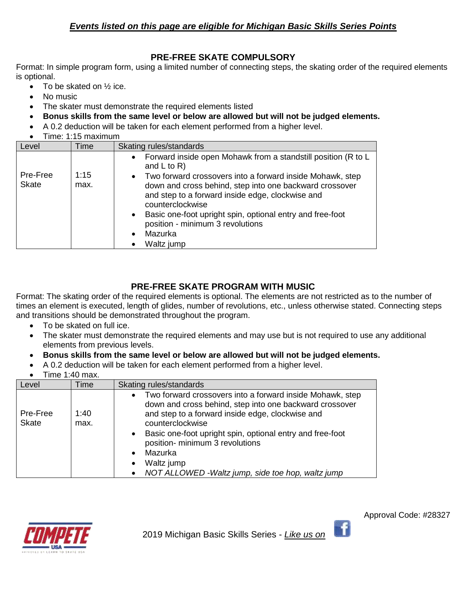# **PRE-FREE SKATE COMPULSORY**

Format: In simple program form, using a limited number of connecting steps, the skating order of the required elements is optional.

- To be skated on  $\frac{1}{2}$  ice.
- No music
- The skater must demonstrate the required elements listed
- **Bonus skills from the same level or below are allowed but will not be judged elements.**
- A 0.2 deduction will be taken for each element performed from a higher level.
- Time: 1:15 maximum

| Level                    | Time         | Skating rules/standards                                                                                                                                                                                                                                                                                                                                       |
|--------------------------|--------------|---------------------------------------------------------------------------------------------------------------------------------------------------------------------------------------------------------------------------------------------------------------------------------------------------------------------------------------------------------------|
|                          |              | Forward inside open Mohawk from a standstill position (R to L<br>$\bullet$<br>and $L$ to $R$ )                                                                                                                                                                                                                                                                |
| Pre-Free<br><b>Skate</b> | 1:15<br>max. | Two forward crossovers into a forward inside Mohawk, step<br>$\bullet$<br>down and cross behind, step into one backward crossover<br>and step to a forward inside edge, clockwise and<br>counterclockwise<br>Basic one-foot upright spin, optional entry and free-foot<br>$\bullet$<br>position - minimum 3 revolutions<br>Mazurka<br>$\bullet$<br>Waltz jump |

# **PRE-FREE SKATE PROGRAM WITH MUSIC**

Format: The skating order of the required elements is optional. The elements are not restricted as to the number of times an element is executed, length of glides, number of revolutions, etc., unless otherwise stated. Connecting steps and transitions should be demonstrated throughout the program.

- To be skated on full ice.
- The skater must demonstrate the required elements and may use but is not required to use any additional elements from previous levels.
- **Bonus skills from the same level or below are allowed but will not be judged elements.**
- A 0.2 deduction will be taken for each element performed from a higher level.
- $\bullet$  Time 1:40 max.

| Level                    | Time         | Skating rules/standards                                                                                                                                                                                                                                                                                                                                                                                                                      |
|--------------------------|--------------|----------------------------------------------------------------------------------------------------------------------------------------------------------------------------------------------------------------------------------------------------------------------------------------------------------------------------------------------------------------------------------------------------------------------------------------------|
| Pre-Free<br><b>Skate</b> | 1:40<br>max. | Two forward crossovers into a forward inside Mohawk, step<br>$\bullet$<br>down and cross behind, step into one backward crossover<br>and step to a forward inside edge, clockwise and<br>counterclockwise<br>Basic one-foot upright spin, optional entry and free-foot<br>$\bullet$<br>position- minimum 3 revolutions<br>Mazurka<br>$\bullet$<br>Waltz jump<br>$\bullet$<br>NOT ALLOWED - Waltz jump, side toe hop, waltz jump<br>$\bullet$ |



Ŧ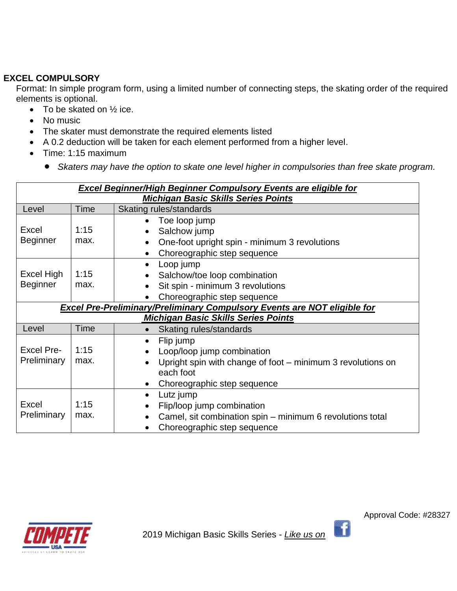# **EXCEL COMPULSORY**

Format: In simple program form, using a limited number of connecting steps, the skating order of the required elements is optional.

- To be skated on  $\frac{1}{2}$  ice.
- No music
- The skater must demonstrate the required elements listed
- A 0.2 deduction will be taken for each element performed from a higher level.
- Time: 1:15 maximum
	- *Skaters may have the option to skate one level higher in compulsories than free skate program.*

|                                                                                                                        | <b>Excel Beginner/High Beginner Compulsory Events are eligible for</b><br><b>Michigan Basic Skills Series Points</b> |                                                                                                                                                                 |  |
|------------------------------------------------------------------------------------------------------------------------|----------------------------------------------------------------------------------------------------------------------|-----------------------------------------------------------------------------------------------------------------------------------------------------------------|--|
| Level                                                                                                                  | Time                                                                                                                 | Skating rules/standards                                                                                                                                         |  |
| <b>Excel</b><br><b>Beginner</b>                                                                                        | 1:15<br>max.                                                                                                         | Toe loop jump<br>Salchow jump<br>One-foot upright spin - minimum 3 revolutions<br>Choreographic step sequence<br>$\bullet$                                      |  |
| Excel High<br><b>Beginner</b>                                                                                          | 1:15<br>max.                                                                                                         | Loop jump<br>$\bullet$<br>Salchow/toe loop combination<br>Sit spin - minimum 3 revolutions<br>Choreographic step sequence                                       |  |
| Excel Pre-Preliminary/Preliminary Compulsory Events are NOT eligible for<br><b>Michigan Basic Skills Series Points</b> |                                                                                                                      |                                                                                                                                                                 |  |
| Level                                                                                                                  | Time                                                                                                                 | Skating rules/standards                                                                                                                                         |  |
| <b>Excel Pre-</b><br>Preliminary                                                                                       | 1:15<br>max.                                                                                                         | Flip jump<br>$\bullet$<br>Loop/loop jump combination<br>Upright spin with change of foot – minimum 3 revolutions on<br>each foot<br>Choreographic step sequence |  |
| Excel<br>Preliminary                                                                                                   | 1:15<br>max.                                                                                                         | Lutz jump<br>$\bullet$<br>Flip/loop jump combination<br>Camel, sit combination spin – minimum 6 revolutions total<br>Choreographic step sequence                |  |



Approval Code: #28327

-fi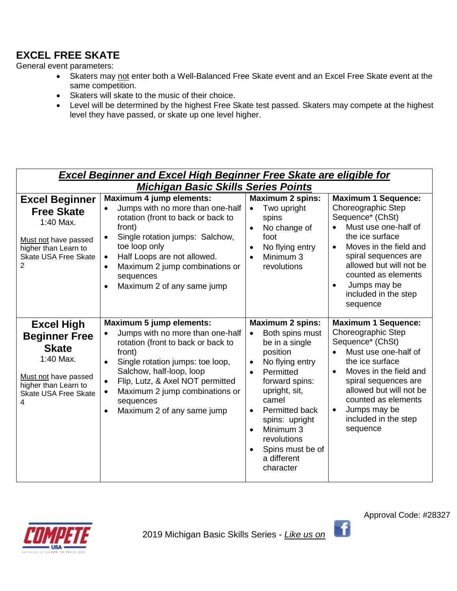# **EXCEL FREE SKATE**

General event parameters:

- Skaters may not enter both a Well-Balanced Free Skate event and an Excel Free Skate event at the same competition.
- Skaters will skate to the music of their choice.
- Level will be determined by the highest Free Skate test passed. Skaters may compete at the highest level they have passed, or skate up one level higher.

|                                                                                                                                                            | <b>Excel Beginner and Excel High Beginner Free Skate are eligible for</b><br><b>Michigan Basic Skills Series Points</b>                                                                                                                                                                                                                                               |                                                                                                                                                                                                                                                                                                                          |                                                                                                                                                                                                                                                                                                   |
|------------------------------------------------------------------------------------------------------------------------------------------------------------|-----------------------------------------------------------------------------------------------------------------------------------------------------------------------------------------------------------------------------------------------------------------------------------------------------------------------------------------------------------------------|--------------------------------------------------------------------------------------------------------------------------------------------------------------------------------------------------------------------------------------------------------------------------------------------------------------------------|---------------------------------------------------------------------------------------------------------------------------------------------------------------------------------------------------------------------------------------------------------------------------------------------------|
| <b>Excel Beginner</b><br><b>Free Skate</b><br>1:40 Max.<br>Must not have passed<br>higher than Learn to<br>Skate USA Free Skate<br>$\overline{2}$          | Maximum 4 jump elements:<br>Jumps with no more than one-half<br>$\bullet$<br>rotation (front to back or back to<br>front)<br>Single rotation jumps: Salchow,<br>$\bullet$<br>toe loop only<br>Half Loops are not allowed.<br>$\bullet$<br>Maximum 2 jump combinations or<br>$\bullet$<br>sequences<br>Maximum 2 of any same jump<br>$\bullet$                         | <b>Maximum 2 spins:</b><br>Two upright<br>$\bullet$<br>spins<br>No change of<br>$\bullet$<br>foot<br>No flying entry<br>$\bullet$<br>Minimum 3<br>$\bullet$<br>revolutions                                                                                                                                               | <b>Maximum 1 Sequence:</b><br>Choreographic Step<br>Sequence* (ChSt)<br>Must use one-half of<br>the ice surface<br>Moves in the field and<br>$\bullet$<br>spiral sequences are<br>allowed but will not be<br>counted as elements<br>Jumps may be<br>$\bullet$<br>included in the step<br>sequence |
| <b>Excel High</b><br><b>Beginner Free</b><br><b>Skate</b><br>1:40 Max.<br>Must not have passed<br>higher than Learn to<br><b>Skate USA Free Skate</b><br>4 | <b>Maximum 5 jump elements:</b><br>Jumps with no more than one-half<br>$\bullet$<br>rotation (front to back or back to<br>front)<br>Single rotation jumps: toe loop,<br>$\bullet$<br>Salchow, half-loop, loop<br>Flip, Lutz, & Axel NOT permitted<br>$\bullet$<br>Maximum 2 jump combinations or<br>$\bullet$<br>sequences<br>Maximum 2 of any same jump<br>$\bullet$ | <b>Maximum 2 spins:</b><br>Both spins must<br>$\bullet$<br>be in a single<br>position<br>No flying entry<br>$\bullet$<br>Permitted<br>$\bullet$<br>forward spins:<br>upright, sit,<br>camel<br>Permitted back<br>spins: upright<br>Minimum 3<br>$\bullet$<br>revolutions<br>Spins must be of<br>a different<br>character | <b>Maximum 1 Sequence:</b><br>Choreographic Step<br>Sequence* (ChSt)<br>Must use one-half of<br>the ice surface<br>Moves in the field and<br>$\bullet$<br>spiral sequences are<br>allowed but will not be<br>counted as elements<br>Jumps may be<br>$\bullet$<br>included in the step<br>sequence |

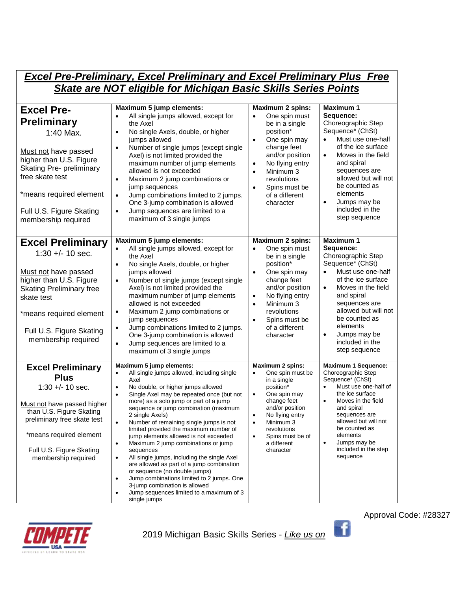| <b>Excel Pre-Preliminary, Excel Preliminary and Excel Preliminary Plus Free</b>                                                                                                                                                             |                                                                                                                                                                                                                                                                                                                                                                                                                                                                                                                                                                                                                                                                                                                                                                                                                                          |                                                                                                                                                                                                                                                                                           |                                                                                                                                                                                                                                                                                                                         |
|---------------------------------------------------------------------------------------------------------------------------------------------------------------------------------------------------------------------------------------------|------------------------------------------------------------------------------------------------------------------------------------------------------------------------------------------------------------------------------------------------------------------------------------------------------------------------------------------------------------------------------------------------------------------------------------------------------------------------------------------------------------------------------------------------------------------------------------------------------------------------------------------------------------------------------------------------------------------------------------------------------------------------------------------------------------------------------------------|-------------------------------------------------------------------------------------------------------------------------------------------------------------------------------------------------------------------------------------------------------------------------------------------|-------------------------------------------------------------------------------------------------------------------------------------------------------------------------------------------------------------------------------------------------------------------------------------------------------------------------|
| <b>Skate are NOT eligible for Michigan Basic Skills Series Points</b>                                                                                                                                                                       |                                                                                                                                                                                                                                                                                                                                                                                                                                                                                                                                                                                                                                                                                                                                                                                                                                          |                                                                                                                                                                                                                                                                                           |                                                                                                                                                                                                                                                                                                                         |
| <b>Excel Pre-</b><br><b>Preliminary</b><br>1:40 Max.<br>Must not have passed<br>higher than U.S. Figure<br><b>Skating Pre- preliminary</b><br>free skate test<br>*means required element<br>Full U.S. Figure Skating<br>membership required | Maximum 5 jump elements:<br>All single jumps allowed, except for<br>$\bullet$<br>the Axel<br>No single Axels, double, or higher<br>$\bullet$<br>jumps allowed<br>Number of single jumps (except single<br>$\bullet$<br>Axel) is not limited provided the<br>maximum number of jump elements<br>allowed is not exceeded<br>Maximum 2 jump combinations or<br>$\bullet$<br>jump sequences<br>Jump combinations limited to 2 jumps.<br>$\bullet$<br>One 3-jump combination is allowed<br>Jump sequences are limited to a<br>$\bullet$<br>maximum of 3 single jumps                                                                                                                                                                                                                                                                          | <b>Maximum 2 spins:</b><br>One spin must<br>$\bullet$<br>be in a single<br>position*<br>One spin may<br>$\bullet$<br>change feet<br>and/or position<br>No flying entry<br>$\bullet$<br>Minimum 3<br>$\bullet$<br>revolutions<br>Spins must be<br>$\bullet$<br>of a different<br>character | <b>Maximum 1</b><br>Sequence:<br>Choreographic Step<br>Sequence* (ChSt)<br>Must use one-half<br>$\bullet$<br>of the ice surface<br>Moves in the field<br>$\bullet$<br>and spiral<br>sequences are<br>allowed but will not<br>be counted as<br>elements<br>Jumps may be<br>$\bullet$<br>included in the<br>step sequence |
| <b>Excel Preliminary</b><br>$1:30 +/- 10$ sec.<br>Must not have passed<br>higher than U.S. Figure<br><b>Skating Preliminary free</b><br>skate test<br>*means required element<br>Full U.S. Figure Skating<br>membership required            | Maximum 5 jump elements:<br>All single jumps allowed, except for<br>$\bullet$<br>the Axel<br>No single Axels, double, or higher<br>$\bullet$<br>jumps allowed<br>Number of single jumps (except single<br>$\bullet$<br>Axel) is not limited provided the<br>maximum number of jump elements<br>allowed is not exceeded<br>Maximum 2 jump combinations or<br>$\bullet$<br>jump sequences<br>Jump combinations limited to 2 jumps.<br>$\bullet$<br>One 3-jump combination is allowed<br>Jump sequences are limited to a<br>$\bullet$<br>maximum of 3 single jumps                                                                                                                                                                                                                                                                          | <b>Maximum 2 spins:</b><br>One spin must<br>$\bullet$<br>be in a single<br>position*<br>One spin may<br>$\bullet$<br>change feet<br>and/or position<br>No flying entry<br>$\bullet$<br>Minimum 3<br>$\bullet$<br>revolutions<br>$\bullet$<br>Spins must be<br>of a different<br>character | <b>Maximum 1</b><br>Sequence:<br>Choreographic Step<br>Sequence* (ChSt)<br>Must use one-half<br>$\bullet$<br>of the ice surface<br>Moves in the field<br>$\bullet$<br>and spiral<br>sequences are<br>allowed but will not<br>be counted as<br>elements<br>Jumps may be<br>$\bullet$<br>included in the<br>step sequence |
| <b>Excel Preliminary</b><br><b>Plus</b><br>$1:30 +/- 10$ sec.<br>Must not have passed higher<br>than U.S. Figure Skating<br>preliminary free skate test<br>*means required element<br>Full U.S. Figure Skating<br>membership required       | Maximum 5 jump elements:<br>All single jumps allowed, including single<br>$\bullet$<br>Axel<br>No double, or higher jumps allowed<br>$\bullet$<br>Single Axel may be repeated once (but not<br>$\bullet$<br>more) as a solo jump or part of a jump<br>sequence or jump combination (maximum<br>2 single Axels)<br>$\bullet$<br>Number of remaining single jumps is not<br>limited provided the maximum number of<br>jump elements allowed is not exceeded<br>Maximum 2 jump combinations or jump<br>$\bullet$<br>sequences<br>All single jumps, including the single Axel<br>$\bullet$<br>are allowed as part of a jump combination<br>or sequence (no double jumps)<br>Jump combinations limited to 2 jumps. One<br>$\bullet$<br>3-jump combination is allowed<br>Jump sequences limited to a maximum of 3<br>$\bullet$<br>single jumps | Maximum 2 spins:<br>One spin must be<br>$\bullet$<br>in a single<br>position*<br>One spin may<br>$\bullet$<br>change feet<br>and/or position<br>No flying entry<br>$\bullet$<br>Minimum 3<br>$\bullet$<br>revolutions<br>Spins must be of<br>$\bullet$<br>a different<br>character        | <b>Maximum 1 Sequence:</b><br>Choreographic Step<br>Sequence* (ChSt)<br>Must use one-half of<br>$\bullet$<br>the ice surface<br>$\bullet$<br>Moves in the field<br>and spiral<br>sequences are<br>allowed but will not<br>be counted as<br>elements<br>Jumps may be<br>$\bullet$<br>included in the step<br>sequence    |



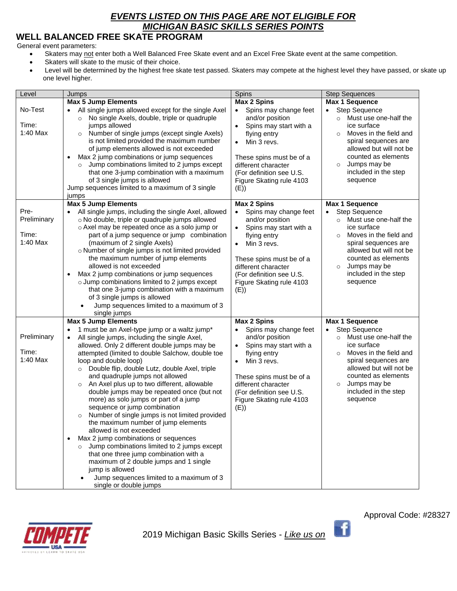# *EVENTS LISTED ON THIS PAGE ARE NOT ELIGIBLE FOR MICHIGAN BASIC SKILLS SERIES POINTS*

# **WELL BALANCED FREE SKATE PROGRAM**

General event parameters:

- Skaters may not enter both a Well Balanced Free Skate event and an Excel Free Skate event at the same competition.
- Skaters will skate to the music of their choice.
- Level will be determined by the highest free skate test passed. Skaters may compete at the highest level they have passed, or skate up one level higher.

| Level                                    | Jumps                                                                                                                                                                                                                                                                                                                                                                                                                                                                                                                                                                                                                                                                                                                                                                                                                                                                                                                                                               | Spins<br><b>Step Sequences</b>                                                                                                                                                                                                                                       |                                                                                                                                                                                                                                                                                             |
|------------------------------------------|---------------------------------------------------------------------------------------------------------------------------------------------------------------------------------------------------------------------------------------------------------------------------------------------------------------------------------------------------------------------------------------------------------------------------------------------------------------------------------------------------------------------------------------------------------------------------------------------------------------------------------------------------------------------------------------------------------------------------------------------------------------------------------------------------------------------------------------------------------------------------------------------------------------------------------------------------------------------|----------------------------------------------------------------------------------------------------------------------------------------------------------------------------------------------------------------------------------------------------------------------|---------------------------------------------------------------------------------------------------------------------------------------------------------------------------------------------------------------------------------------------------------------------------------------------|
|                                          | <b>Max 5 Jump Elements</b>                                                                                                                                                                                                                                                                                                                                                                                                                                                                                                                                                                                                                                                                                                                                                                                                                                                                                                                                          | <b>Max 2 Spins</b>                                                                                                                                                                                                                                                   | <b>Max 1 Sequence</b>                                                                                                                                                                                                                                                                       |
| No-Test<br>Time:<br>$1:40$ Max           | All single jumps allowed except for the single Axel<br>No single Axels, double, triple or quadruple<br>$\circ$<br>jumps allowed<br>Number of single jumps (except single Axels)<br>$\circ$<br>is not limited provided the maximum number<br>of jump elements allowed is not exceeded<br>Max 2 jump combinations or jump sequences<br>$\bullet$<br>Jump combinations limited to 2 jumps except<br>$\circ$<br>that one 3-jump combination with a maximum<br>of 3 single jumps is allowed<br>Jump sequences limited to a maximum of 3 single<br>jumps                                                                                                                                                                                                                                                                                                                                                                                                                  | Spins may change feet<br>$\bullet$<br>and/or position<br>Spins may start with a<br>$\bullet$<br>flying entry<br>Min 3 revs.<br>$\bullet$<br>These spins must be of a<br>different character<br>(For definition see U.S.<br>Figure Skating rule 4103<br>(E))          | <b>Step Sequence</b><br>$\bullet$<br>Must use one-half the<br>$\circ$<br>ice surface<br>Moves in the field and<br>$\circ$<br>spiral sequences are<br>allowed but will not be<br>counted as elements<br>Jumps may be<br>$\circ$<br>included in the step<br>sequence                          |
|                                          | <b>Max 5 Jump Elements</b>                                                                                                                                                                                                                                                                                                                                                                                                                                                                                                                                                                                                                                                                                                                                                                                                                                                                                                                                          | <b>Max 2 Spins</b>                                                                                                                                                                                                                                                   | <b>Max 1 Sequence</b>                                                                                                                                                                                                                                                                       |
| Pre-<br>Preliminary<br>Time:<br>1:40 Max | All single jumps, including the single Axel, allowed<br>o No double, triple or quadruple jumps allowed<br>o Axel may be repeated once as a solo jump or<br>part of a jump sequence or jump combination<br>(maximum of 2 single Axels)<br>o Number of single jumps is not limited provided<br>the maximum number of jump elements<br>allowed is not exceeded<br>Max 2 jump combinations or jump sequences<br>$\bullet$<br>o Jump combinations limited to 2 jumps except<br>that one 3-jump combination with a maximum<br>of 3 single jumps is allowed<br>Jump sequences limited to a maximum of 3<br>$\bullet$                                                                                                                                                                                                                                                                                                                                                       | Spins may change feet<br>and/or position<br>Spins may start with a<br>$\bullet$<br>flying entry<br>Min 3 revs.<br>$\bullet$<br>These spins must be of a<br>different character<br>(For definition see U.S.<br>Figure Skating rule 4103<br>(E)                        | <b>Step Sequence</b><br>$\bullet$<br>o Must use one-half the<br>ice surface<br>Moves in the field and<br>$\circ$<br>spiral sequences are<br>allowed but will not be<br>counted as elements<br>Jumps may be<br>$\circ$<br>included in the step<br>sequence                                   |
|                                          | single jumps                                                                                                                                                                                                                                                                                                                                                                                                                                                                                                                                                                                                                                                                                                                                                                                                                                                                                                                                                        |                                                                                                                                                                                                                                                                      |                                                                                                                                                                                                                                                                                             |
| Preliminary<br>Time:<br>1:40 Max         | <b>Max 5 Jump Elements</b><br>1 must be an Axel-type jump or a waltz jump*<br>All single jumps, including the single Axel,<br>allowed. Only 2 different double jumps may be<br>attempted (limited to double Salchow, double toe<br>loop and double loop)<br>Double flip, double Lutz, double Axel, triple<br>$\circ$<br>and quadruple jumps not allowed<br>An Axel plus up to two different, allowable<br>$\circ$<br>double jumps may be repeated once (but not<br>more) as solo jumps or part of a jump<br>sequence or jump combination<br>Number of single jumps is not limited provided<br>$\circ$<br>the maximum number of jump elements<br>allowed is not exceeded<br>Max 2 jump combinations or sequences<br>$\bullet$<br>Jump combinations limited to 2 jumps except<br>$\circ$<br>that one three jump combination with a<br>maximum of 2 double jumps and 1 single<br>jump is allowed<br>Jump sequences limited to a maximum of 3<br>single or double jumps | <b>Max 2 Spins</b><br>Spins may change feet<br>and/or position<br>Spins may start with a<br>$\bullet$<br>flying entry<br>Min 3 revs.<br>$\bullet$<br>These spins must be of a<br>different character<br>(For definition see U.S.<br>Figure Skating rule 4103<br>(E)) | <b>Max 1 Sequence</b><br><b>Step Sequence</b><br>$\bullet$<br>Must use one-half the<br>$\circ$<br>ice surface<br>Moves in the field and<br>$\circ$<br>spiral sequences are<br>allowed but will not be<br>counted as elements<br>Jumps may be<br>$\circ$<br>included in the step<br>sequence |



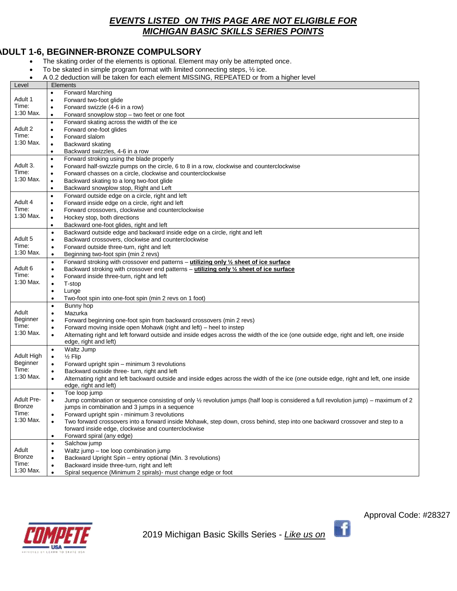## *EVENTS LISTED ON THIS PAGE ARE NOT ELIGIBLE FOR MICHIGAN BASIC SKILLS SERIES POINTS*

## **ADULT 1-6, BEGINNER-BRONZE COMPULSORY**

- The skating order of the elements is optional. Element may only be attempted once.
- To be skated in simple program format with limited connecting steps,  $\frac{1}{2}$  ice.
- A 0.2 deduction will be taken for each element MISSING, REPEATED or from a higher level

| <b>Forward Marching</b><br>Adult 1<br>Forward two-foot glide<br>$\bullet$<br>Time:<br>Forward swizzle (4-6 in a row)<br>1:30 Max.<br>Forward snowplow stop - two feet or one foot<br>$\bullet$<br>Forward skating across the width of the ice<br>$\bullet$<br>Adult 2<br>Forward one-foot glides<br>٠<br>Time:<br>Forward slalom<br>$\bullet$<br>1:30 Max.<br>Backward skating<br>$\bullet$<br>Backward swizzles, 4-6 in a row<br>٠<br>Forward stroking using the blade properly<br>$\bullet$<br>Adult 3.<br>Forward half-swizzle pumps on the circle, 6 to 8 in a row, clockwise and counterclockwise<br>$\bullet$<br>Time:<br>Forward chasses on a circle, clockwise and counterclockwise<br>٠<br>$1:30$ Max.<br>Backward skating to a long two-foot glide<br>$\bullet$<br>Backward snowplow stop, Right and Left<br>$\bullet$<br>Forward outside edge on a circle, right and left<br>$\bullet$<br>Adult 4<br>Forward inside edge on a circle, right and left<br>$\bullet$<br>Time:<br>Forward crossovers, clockwise and counterclockwise<br>1:30 Max.<br>Hockey stop, both directions<br>$\bullet$<br>Backward one-foot glides, right and left<br>$\bullet$<br>Backward outside edge and backward inside edge on a circle, right and left<br>$\bullet$<br>Adult 5<br>Backward crossovers, clockwise and counterclockwise<br>$\bullet$<br>Time:<br>Forward outside three-turn, right and left<br>$\bullet$<br>1:30 Max.<br>Beginning two-foot spin (min 2 revs)<br>$\bullet$<br>Forward stroking with crossover end patterns - utilizing only 1/2 sheet of ice surface<br>$\bullet$<br>Adult 6<br>Backward stroking with crossover end patterns – utilizing only $\frac{1}{2}$ sheet of ice surface<br>$\bullet$<br>Time:<br>Forward inside three-turn, right and left<br>1:30 Max.<br>T-stop<br>$\bullet$<br>Lunge<br>$\bullet$<br>Two-foot spin into one-foot spin (min 2 revs on 1 foot)<br>$\bullet$<br>Bunny hop<br>$\bullet$<br>Adult<br>Mazurka<br>$\bullet$<br>Beginner<br>Forward beginning one-foot spin from backward crossovers (min 2 revs)<br>$\bullet$<br>Time:<br>Forward moving inside open Mohawk (right and left) – heel to instep<br>$\bullet$<br>1:30 Max.<br>Alternating right and left forward outside and inside edges across the width of the ice (one outside edge, right and left, one inside<br>edge, right and left)<br>Waltz Jump<br>$\bullet$<br>Adult High<br>$1/2$ Flip<br>$\bullet$<br>Beginner<br>Forward upright spin - minimum 3 revolutions<br>$\bullet$<br>Time:<br>Backward outside three- turn, right and left<br>$\bullet$<br>1:30 Max.<br>Alternating right and left backward outside and inside edges across the width of the ice (one outside edge, right and left, one inside<br>$\bullet$<br>edge, right and left)<br>Toe loop jump<br>$\bullet$<br>Adult Pre-<br>Jump combination or sequence consisting of only 1/2 revolution jumps (half loop is considered a full revolution jump) – maximum of 2<br>Bronze<br>jumps in combination and 3 jumps in a sequence<br>Time:<br>Forward upright spin - minimum 3 revolutions<br>1:30 Max.<br>Two forward crossovers into a forward inside Mohawk, step down, cross behind, step into one backward crossover and step to a<br>$\bullet$<br>forward inside edge, clockwise and counterclockwise<br>Forward spiral (any edge)<br>$\bullet$<br>Salchow jump<br>$\bullet$<br>Adult<br>Waltz jump - toe loop combination jump<br>$\bullet$<br>Bronze<br>Backward Upright Spin - entry optional (Min. 3 revolutions)<br>٠<br>Time:<br>Backward inside three-turn, right and left | Level     | Elements                                                                   |  |
|---------------------------------------------------------------------------------------------------------------------------------------------------------------------------------------------------------------------------------------------------------------------------------------------------------------------------------------------------------------------------------------------------------------------------------------------------------------------------------------------------------------------------------------------------------------------------------------------------------------------------------------------------------------------------------------------------------------------------------------------------------------------------------------------------------------------------------------------------------------------------------------------------------------------------------------------------------------------------------------------------------------------------------------------------------------------------------------------------------------------------------------------------------------------------------------------------------------------------------------------------------------------------------------------------------------------------------------------------------------------------------------------------------------------------------------------------------------------------------------------------------------------------------------------------------------------------------------------------------------------------------------------------------------------------------------------------------------------------------------------------------------------------------------------------------------------------------------------------------------------------------------------------------------------------------------------------------------------------------------------------------------------------------------------------------------------------------------------------------------------------------------------------------------------------------------------------------------------------------------------------------------------------------------------------------------------------------------------------------------------------------------------------------------------------------------------------------------------------------------------------------------------------------------------------------------------------------------------------------------------------------------------------------------------------------------------------------------------------------------------------------------------------------------------------------------------------------------------------------------------------------------------------------------------------------------------------------------------------------------------------------------------------------------------------------------------------------------------------------------------------------------------------------------------------------------------------------------------------------------------------------------------------------------------------------------------------------------------------------------------------------------------------------------------------------------------------------------------------------------------------------------------------------------------------------------------------|-----------|----------------------------------------------------------------------------|--|
|                                                                                                                                                                                                                                                                                                                                                                                                                                                                                                                                                                                                                                                                                                                                                                                                                                                                                                                                                                                                                                                                                                                                                                                                                                                                                                                                                                                                                                                                                                                                                                                                                                                                                                                                                                                                                                                                                                                                                                                                                                                                                                                                                                                                                                                                                                                                                                                                                                                                                                                                                                                                                                                                                                                                                                                                                                                                                                                                                                                                                                                                                                                                                                                                                                                                                                                                                                                                                                                                                                                                                                           |           |                                                                            |  |
|                                                                                                                                                                                                                                                                                                                                                                                                                                                                                                                                                                                                                                                                                                                                                                                                                                                                                                                                                                                                                                                                                                                                                                                                                                                                                                                                                                                                                                                                                                                                                                                                                                                                                                                                                                                                                                                                                                                                                                                                                                                                                                                                                                                                                                                                                                                                                                                                                                                                                                                                                                                                                                                                                                                                                                                                                                                                                                                                                                                                                                                                                                                                                                                                                                                                                                                                                                                                                                                                                                                                                                           |           |                                                                            |  |
|                                                                                                                                                                                                                                                                                                                                                                                                                                                                                                                                                                                                                                                                                                                                                                                                                                                                                                                                                                                                                                                                                                                                                                                                                                                                                                                                                                                                                                                                                                                                                                                                                                                                                                                                                                                                                                                                                                                                                                                                                                                                                                                                                                                                                                                                                                                                                                                                                                                                                                                                                                                                                                                                                                                                                                                                                                                                                                                                                                                                                                                                                                                                                                                                                                                                                                                                                                                                                                                                                                                                                                           |           |                                                                            |  |
|                                                                                                                                                                                                                                                                                                                                                                                                                                                                                                                                                                                                                                                                                                                                                                                                                                                                                                                                                                                                                                                                                                                                                                                                                                                                                                                                                                                                                                                                                                                                                                                                                                                                                                                                                                                                                                                                                                                                                                                                                                                                                                                                                                                                                                                                                                                                                                                                                                                                                                                                                                                                                                                                                                                                                                                                                                                                                                                                                                                                                                                                                                                                                                                                                                                                                                                                                                                                                                                                                                                                                                           |           |                                                                            |  |
|                                                                                                                                                                                                                                                                                                                                                                                                                                                                                                                                                                                                                                                                                                                                                                                                                                                                                                                                                                                                                                                                                                                                                                                                                                                                                                                                                                                                                                                                                                                                                                                                                                                                                                                                                                                                                                                                                                                                                                                                                                                                                                                                                                                                                                                                                                                                                                                                                                                                                                                                                                                                                                                                                                                                                                                                                                                                                                                                                                                                                                                                                                                                                                                                                                                                                                                                                                                                                                                                                                                                                                           |           |                                                                            |  |
|                                                                                                                                                                                                                                                                                                                                                                                                                                                                                                                                                                                                                                                                                                                                                                                                                                                                                                                                                                                                                                                                                                                                                                                                                                                                                                                                                                                                                                                                                                                                                                                                                                                                                                                                                                                                                                                                                                                                                                                                                                                                                                                                                                                                                                                                                                                                                                                                                                                                                                                                                                                                                                                                                                                                                                                                                                                                                                                                                                                                                                                                                                                                                                                                                                                                                                                                                                                                                                                                                                                                                                           |           |                                                                            |  |
|                                                                                                                                                                                                                                                                                                                                                                                                                                                                                                                                                                                                                                                                                                                                                                                                                                                                                                                                                                                                                                                                                                                                                                                                                                                                                                                                                                                                                                                                                                                                                                                                                                                                                                                                                                                                                                                                                                                                                                                                                                                                                                                                                                                                                                                                                                                                                                                                                                                                                                                                                                                                                                                                                                                                                                                                                                                                                                                                                                                                                                                                                                                                                                                                                                                                                                                                                                                                                                                                                                                                                                           |           |                                                                            |  |
|                                                                                                                                                                                                                                                                                                                                                                                                                                                                                                                                                                                                                                                                                                                                                                                                                                                                                                                                                                                                                                                                                                                                                                                                                                                                                                                                                                                                                                                                                                                                                                                                                                                                                                                                                                                                                                                                                                                                                                                                                                                                                                                                                                                                                                                                                                                                                                                                                                                                                                                                                                                                                                                                                                                                                                                                                                                                                                                                                                                                                                                                                                                                                                                                                                                                                                                                                                                                                                                                                                                                                                           |           |                                                                            |  |
|                                                                                                                                                                                                                                                                                                                                                                                                                                                                                                                                                                                                                                                                                                                                                                                                                                                                                                                                                                                                                                                                                                                                                                                                                                                                                                                                                                                                                                                                                                                                                                                                                                                                                                                                                                                                                                                                                                                                                                                                                                                                                                                                                                                                                                                                                                                                                                                                                                                                                                                                                                                                                                                                                                                                                                                                                                                                                                                                                                                                                                                                                                                                                                                                                                                                                                                                                                                                                                                                                                                                                                           |           |                                                                            |  |
|                                                                                                                                                                                                                                                                                                                                                                                                                                                                                                                                                                                                                                                                                                                                                                                                                                                                                                                                                                                                                                                                                                                                                                                                                                                                                                                                                                                                                                                                                                                                                                                                                                                                                                                                                                                                                                                                                                                                                                                                                                                                                                                                                                                                                                                                                                                                                                                                                                                                                                                                                                                                                                                                                                                                                                                                                                                                                                                                                                                                                                                                                                                                                                                                                                                                                                                                                                                                                                                                                                                                                                           |           |                                                                            |  |
|                                                                                                                                                                                                                                                                                                                                                                                                                                                                                                                                                                                                                                                                                                                                                                                                                                                                                                                                                                                                                                                                                                                                                                                                                                                                                                                                                                                                                                                                                                                                                                                                                                                                                                                                                                                                                                                                                                                                                                                                                                                                                                                                                                                                                                                                                                                                                                                                                                                                                                                                                                                                                                                                                                                                                                                                                                                                                                                                                                                                                                                                                                                                                                                                                                                                                                                                                                                                                                                                                                                                                                           |           |                                                                            |  |
|                                                                                                                                                                                                                                                                                                                                                                                                                                                                                                                                                                                                                                                                                                                                                                                                                                                                                                                                                                                                                                                                                                                                                                                                                                                                                                                                                                                                                                                                                                                                                                                                                                                                                                                                                                                                                                                                                                                                                                                                                                                                                                                                                                                                                                                                                                                                                                                                                                                                                                                                                                                                                                                                                                                                                                                                                                                                                                                                                                                                                                                                                                                                                                                                                                                                                                                                                                                                                                                                                                                                                                           |           |                                                                            |  |
|                                                                                                                                                                                                                                                                                                                                                                                                                                                                                                                                                                                                                                                                                                                                                                                                                                                                                                                                                                                                                                                                                                                                                                                                                                                                                                                                                                                                                                                                                                                                                                                                                                                                                                                                                                                                                                                                                                                                                                                                                                                                                                                                                                                                                                                                                                                                                                                                                                                                                                                                                                                                                                                                                                                                                                                                                                                                                                                                                                                                                                                                                                                                                                                                                                                                                                                                                                                                                                                                                                                                                                           |           |                                                                            |  |
|                                                                                                                                                                                                                                                                                                                                                                                                                                                                                                                                                                                                                                                                                                                                                                                                                                                                                                                                                                                                                                                                                                                                                                                                                                                                                                                                                                                                                                                                                                                                                                                                                                                                                                                                                                                                                                                                                                                                                                                                                                                                                                                                                                                                                                                                                                                                                                                                                                                                                                                                                                                                                                                                                                                                                                                                                                                                                                                                                                                                                                                                                                                                                                                                                                                                                                                                                                                                                                                                                                                                                                           |           |                                                                            |  |
|                                                                                                                                                                                                                                                                                                                                                                                                                                                                                                                                                                                                                                                                                                                                                                                                                                                                                                                                                                                                                                                                                                                                                                                                                                                                                                                                                                                                                                                                                                                                                                                                                                                                                                                                                                                                                                                                                                                                                                                                                                                                                                                                                                                                                                                                                                                                                                                                                                                                                                                                                                                                                                                                                                                                                                                                                                                                                                                                                                                                                                                                                                                                                                                                                                                                                                                                                                                                                                                                                                                                                                           |           |                                                                            |  |
|                                                                                                                                                                                                                                                                                                                                                                                                                                                                                                                                                                                                                                                                                                                                                                                                                                                                                                                                                                                                                                                                                                                                                                                                                                                                                                                                                                                                                                                                                                                                                                                                                                                                                                                                                                                                                                                                                                                                                                                                                                                                                                                                                                                                                                                                                                                                                                                                                                                                                                                                                                                                                                                                                                                                                                                                                                                                                                                                                                                                                                                                                                                                                                                                                                                                                                                                                                                                                                                                                                                                                                           |           |                                                                            |  |
|                                                                                                                                                                                                                                                                                                                                                                                                                                                                                                                                                                                                                                                                                                                                                                                                                                                                                                                                                                                                                                                                                                                                                                                                                                                                                                                                                                                                                                                                                                                                                                                                                                                                                                                                                                                                                                                                                                                                                                                                                                                                                                                                                                                                                                                                                                                                                                                                                                                                                                                                                                                                                                                                                                                                                                                                                                                                                                                                                                                                                                                                                                                                                                                                                                                                                                                                                                                                                                                                                                                                                                           |           |                                                                            |  |
|                                                                                                                                                                                                                                                                                                                                                                                                                                                                                                                                                                                                                                                                                                                                                                                                                                                                                                                                                                                                                                                                                                                                                                                                                                                                                                                                                                                                                                                                                                                                                                                                                                                                                                                                                                                                                                                                                                                                                                                                                                                                                                                                                                                                                                                                                                                                                                                                                                                                                                                                                                                                                                                                                                                                                                                                                                                                                                                                                                                                                                                                                                                                                                                                                                                                                                                                                                                                                                                                                                                                                                           |           |                                                                            |  |
|                                                                                                                                                                                                                                                                                                                                                                                                                                                                                                                                                                                                                                                                                                                                                                                                                                                                                                                                                                                                                                                                                                                                                                                                                                                                                                                                                                                                                                                                                                                                                                                                                                                                                                                                                                                                                                                                                                                                                                                                                                                                                                                                                                                                                                                                                                                                                                                                                                                                                                                                                                                                                                                                                                                                                                                                                                                                                                                                                                                                                                                                                                                                                                                                                                                                                                                                                                                                                                                                                                                                                                           |           |                                                                            |  |
|                                                                                                                                                                                                                                                                                                                                                                                                                                                                                                                                                                                                                                                                                                                                                                                                                                                                                                                                                                                                                                                                                                                                                                                                                                                                                                                                                                                                                                                                                                                                                                                                                                                                                                                                                                                                                                                                                                                                                                                                                                                                                                                                                                                                                                                                                                                                                                                                                                                                                                                                                                                                                                                                                                                                                                                                                                                                                                                                                                                                                                                                                                                                                                                                                                                                                                                                                                                                                                                                                                                                                                           |           |                                                                            |  |
|                                                                                                                                                                                                                                                                                                                                                                                                                                                                                                                                                                                                                                                                                                                                                                                                                                                                                                                                                                                                                                                                                                                                                                                                                                                                                                                                                                                                                                                                                                                                                                                                                                                                                                                                                                                                                                                                                                                                                                                                                                                                                                                                                                                                                                                                                                                                                                                                                                                                                                                                                                                                                                                                                                                                                                                                                                                                                                                                                                                                                                                                                                                                                                                                                                                                                                                                                                                                                                                                                                                                                                           |           |                                                                            |  |
|                                                                                                                                                                                                                                                                                                                                                                                                                                                                                                                                                                                                                                                                                                                                                                                                                                                                                                                                                                                                                                                                                                                                                                                                                                                                                                                                                                                                                                                                                                                                                                                                                                                                                                                                                                                                                                                                                                                                                                                                                                                                                                                                                                                                                                                                                                                                                                                                                                                                                                                                                                                                                                                                                                                                                                                                                                                                                                                                                                                                                                                                                                                                                                                                                                                                                                                                                                                                                                                                                                                                                                           |           |                                                                            |  |
|                                                                                                                                                                                                                                                                                                                                                                                                                                                                                                                                                                                                                                                                                                                                                                                                                                                                                                                                                                                                                                                                                                                                                                                                                                                                                                                                                                                                                                                                                                                                                                                                                                                                                                                                                                                                                                                                                                                                                                                                                                                                                                                                                                                                                                                                                                                                                                                                                                                                                                                                                                                                                                                                                                                                                                                                                                                                                                                                                                                                                                                                                                                                                                                                                                                                                                                                                                                                                                                                                                                                                                           |           |                                                                            |  |
|                                                                                                                                                                                                                                                                                                                                                                                                                                                                                                                                                                                                                                                                                                                                                                                                                                                                                                                                                                                                                                                                                                                                                                                                                                                                                                                                                                                                                                                                                                                                                                                                                                                                                                                                                                                                                                                                                                                                                                                                                                                                                                                                                                                                                                                                                                                                                                                                                                                                                                                                                                                                                                                                                                                                                                                                                                                                                                                                                                                                                                                                                                                                                                                                                                                                                                                                                                                                                                                                                                                                                                           |           |                                                                            |  |
|                                                                                                                                                                                                                                                                                                                                                                                                                                                                                                                                                                                                                                                                                                                                                                                                                                                                                                                                                                                                                                                                                                                                                                                                                                                                                                                                                                                                                                                                                                                                                                                                                                                                                                                                                                                                                                                                                                                                                                                                                                                                                                                                                                                                                                                                                                                                                                                                                                                                                                                                                                                                                                                                                                                                                                                                                                                                                                                                                                                                                                                                                                                                                                                                                                                                                                                                                                                                                                                                                                                                                                           |           |                                                                            |  |
|                                                                                                                                                                                                                                                                                                                                                                                                                                                                                                                                                                                                                                                                                                                                                                                                                                                                                                                                                                                                                                                                                                                                                                                                                                                                                                                                                                                                                                                                                                                                                                                                                                                                                                                                                                                                                                                                                                                                                                                                                                                                                                                                                                                                                                                                                                                                                                                                                                                                                                                                                                                                                                                                                                                                                                                                                                                                                                                                                                                                                                                                                                                                                                                                                                                                                                                                                                                                                                                                                                                                                                           |           |                                                                            |  |
|                                                                                                                                                                                                                                                                                                                                                                                                                                                                                                                                                                                                                                                                                                                                                                                                                                                                                                                                                                                                                                                                                                                                                                                                                                                                                                                                                                                                                                                                                                                                                                                                                                                                                                                                                                                                                                                                                                                                                                                                                                                                                                                                                                                                                                                                                                                                                                                                                                                                                                                                                                                                                                                                                                                                                                                                                                                                                                                                                                                                                                                                                                                                                                                                                                                                                                                                                                                                                                                                                                                                                                           |           |                                                                            |  |
|                                                                                                                                                                                                                                                                                                                                                                                                                                                                                                                                                                                                                                                                                                                                                                                                                                                                                                                                                                                                                                                                                                                                                                                                                                                                                                                                                                                                                                                                                                                                                                                                                                                                                                                                                                                                                                                                                                                                                                                                                                                                                                                                                                                                                                                                                                                                                                                                                                                                                                                                                                                                                                                                                                                                                                                                                                                                                                                                                                                                                                                                                                                                                                                                                                                                                                                                                                                                                                                                                                                                                                           |           |                                                                            |  |
|                                                                                                                                                                                                                                                                                                                                                                                                                                                                                                                                                                                                                                                                                                                                                                                                                                                                                                                                                                                                                                                                                                                                                                                                                                                                                                                                                                                                                                                                                                                                                                                                                                                                                                                                                                                                                                                                                                                                                                                                                                                                                                                                                                                                                                                                                                                                                                                                                                                                                                                                                                                                                                                                                                                                                                                                                                                                                                                                                                                                                                                                                                                                                                                                                                                                                                                                                                                                                                                                                                                                                                           |           |                                                                            |  |
|                                                                                                                                                                                                                                                                                                                                                                                                                                                                                                                                                                                                                                                                                                                                                                                                                                                                                                                                                                                                                                                                                                                                                                                                                                                                                                                                                                                                                                                                                                                                                                                                                                                                                                                                                                                                                                                                                                                                                                                                                                                                                                                                                                                                                                                                                                                                                                                                                                                                                                                                                                                                                                                                                                                                                                                                                                                                                                                                                                                                                                                                                                                                                                                                                                                                                                                                                                                                                                                                                                                                                                           |           |                                                                            |  |
|                                                                                                                                                                                                                                                                                                                                                                                                                                                                                                                                                                                                                                                                                                                                                                                                                                                                                                                                                                                                                                                                                                                                                                                                                                                                                                                                                                                                                                                                                                                                                                                                                                                                                                                                                                                                                                                                                                                                                                                                                                                                                                                                                                                                                                                                                                                                                                                                                                                                                                                                                                                                                                                                                                                                                                                                                                                                                                                                                                                                                                                                                                                                                                                                                                                                                                                                                                                                                                                                                                                                                                           |           |                                                                            |  |
|                                                                                                                                                                                                                                                                                                                                                                                                                                                                                                                                                                                                                                                                                                                                                                                                                                                                                                                                                                                                                                                                                                                                                                                                                                                                                                                                                                                                                                                                                                                                                                                                                                                                                                                                                                                                                                                                                                                                                                                                                                                                                                                                                                                                                                                                                                                                                                                                                                                                                                                                                                                                                                                                                                                                                                                                                                                                                                                                                                                                                                                                                                                                                                                                                                                                                                                                                                                                                                                                                                                                                                           |           |                                                                            |  |
|                                                                                                                                                                                                                                                                                                                                                                                                                                                                                                                                                                                                                                                                                                                                                                                                                                                                                                                                                                                                                                                                                                                                                                                                                                                                                                                                                                                                                                                                                                                                                                                                                                                                                                                                                                                                                                                                                                                                                                                                                                                                                                                                                                                                                                                                                                                                                                                                                                                                                                                                                                                                                                                                                                                                                                                                                                                                                                                                                                                                                                                                                                                                                                                                                                                                                                                                                                                                                                                                                                                                                                           |           |                                                                            |  |
|                                                                                                                                                                                                                                                                                                                                                                                                                                                                                                                                                                                                                                                                                                                                                                                                                                                                                                                                                                                                                                                                                                                                                                                                                                                                                                                                                                                                                                                                                                                                                                                                                                                                                                                                                                                                                                                                                                                                                                                                                                                                                                                                                                                                                                                                                                                                                                                                                                                                                                                                                                                                                                                                                                                                                                                                                                                                                                                                                                                                                                                                                                                                                                                                                                                                                                                                                                                                                                                                                                                                                                           |           |                                                                            |  |
|                                                                                                                                                                                                                                                                                                                                                                                                                                                                                                                                                                                                                                                                                                                                                                                                                                                                                                                                                                                                                                                                                                                                                                                                                                                                                                                                                                                                                                                                                                                                                                                                                                                                                                                                                                                                                                                                                                                                                                                                                                                                                                                                                                                                                                                                                                                                                                                                                                                                                                                                                                                                                                                                                                                                                                                                                                                                                                                                                                                                                                                                                                                                                                                                                                                                                                                                                                                                                                                                                                                                                                           |           |                                                                            |  |
|                                                                                                                                                                                                                                                                                                                                                                                                                                                                                                                                                                                                                                                                                                                                                                                                                                                                                                                                                                                                                                                                                                                                                                                                                                                                                                                                                                                                                                                                                                                                                                                                                                                                                                                                                                                                                                                                                                                                                                                                                                                                                                                                                                                                                                                                                                                                                                                                                                                                                                                                                                                                                                                                                                                                                                                                                                                                                                                                                                                                                                                                                                                                                                                                                                                                                                                                                                                                                                                                                                                                                                           |           |                                                                            |  |
|                                                                                                                                                                                                                                                                                                                                                                                                                                                                                                                                                                                                                                                                                                                                                                                                                                                                                                                                                                                                                                                                                                                                                                                                                                                                                                                                                                                                                                                                                                                                                                                                                                                                                                                                                                                                                                                                                                                                                                                                                                                                                                                                                                                                                                                                                                                                                                                                                                                                                                                                                                                                                                                                                                                                                                                                                                                                                                                                                                                                                                                                                                                                                                                                                                                                                                                                                                                                                                                                                                                                                                           |           |                                                                            |  |
|                                                                                                                                                                                                                                                                                                                                                                                                                                                                                                                                                                                                                                                                                                                                                                                                                                                                                                                                                                                                                                                                                                                                                                                                                                                                                                                                                                                                                                                                                                                                                                                                                                                                                                                                                                                                                                                                                                                                                                                                                                                                                                                                                                                                                                                                                                                                                                                                                                                                                                                                                                                                                                                                                                                                                                                                                                                                                                                                                                                                                                                                                                                                                                                                                                                                                                                                                                                                                                                                                                                                                                           |           |                                                                            |  |
|                                                                                                                                                                                                                                                                                                                                                                                                                                                                                                                                                                                                                                                                                                                                                                                                                                                                                                                                                                                                                                                                                                                                                                                                                                                                                                                                                                                                                                                                                                                                                                                                                                                                                                                                                                                                                                                                                                                                                                                                                                                                                                                                                                                                                                                                                                                                                                                                                                                                                                                                                                                                                                                                                                                                                                                                                                                                                                                                                                                                                                                                                                                                                                                                                                                                                                                                                                                                                                                                                                                                                                           |           |                                                                            |  |
|                                                                                                                                                                                                                                                                                                                                                                                                                                                                                                                                                                                                                                                                                                                                                                                                                                                                                                                                                                                                                                                                                                                                                                                                                                                                                                                                                                                                                                                                                                                                                                                                                                                                                                                                                                                                                                                                                                                                                                                                                                                                                                                                                                                                                                                                                                                                                                                                                                                                                                                                                                                                                                                                                                                                                                                                                                                                                                                                                                                                                                                                                                                                                                                                                                                                                                                                                                                                                                                                                                                                                                           |           |                                                                            |  |
|                                                                                                                                                                                                                                                                                                                                                                                                                                                                                                                                                                                                                                                                                                                                                                                                                                                                                                                                                                                                                                                                                                                                                                                                                                                                                                                                                                                                                                                                                                                                                                                                                                                                                                                                                                                                                                                                                                                                                                                                                                                                                                                                                                                                                                                                                                                                                                                                                                                                                                                                                                                                                                                                                                                                                                                                                                                                                                                                                                                                                                                                                                                                                                                                                                                                                                                                                                                                                                                                                                                                                                           |           |                                                                            |  |
|                                                                                                                                                                                                                                                                                                                                                                                                                                                                                                                                                                                                                                                                                                                                                                                                                                                                                                                                                                                                                                                                                                                                                                                                                                                                                                                                                                                                                                                                                                                                                                                                                                                                                                                                                                                                                                                                                                                                                                                                                                                                                                                                                                                                                                                                                                                                                                                                                                                                                                                                                                                                                                                                                                                                                                                                                                                                                                                                                                                                                                                                                                                                                                                                                                                                                                                                                                                                                                                                                                                                                                           |           |                                                                            |  |
|                                                                                                                                                                                                                                                                                                                                                                                                                                                                                                                                                                                                                                                                                                                                                                                                                                                                                                                                                                                                                                                                                                                                                                                                                                                                                                                                                                                                                                                                                                                                                                                                                                                                                                                                                                                                                                                                                                                                                                                                                                                                                                                                                                                                                                                                                                                                                                                                                                                                                                                                                                                                                                                                                                                                                                                                                                                                                                                                                                                                                                                                                                                                                                                                                                                                                                                                                                                                                                                                                                                                                                           |           |                                                                            |  |
|                                                                                                                                                                                                                                                                                                                                                                                                                                                                                                                                                                                                                                                                                                                                                                                                                                                                                                                                                                                                                                                                                                                                                                                                                                                                                                                                                                                                                                                                                                                                                                                                                                                                                                                                                                                                                                                                                                                                                                                                                                                                                                                                                                                                                                                                                                                                                                                                                                                                                                                                                                                                                                                                                                                                                                                                                                                                                                                                                                                                                                                                                                                                                                                                                                                                                                                                                                                                                                                                                                                                                                           |           |                                                                            |  |
|                                                                                                                                                                                                                                                                                                                                                                                                                                                                                                                                                                                                                                                                                                                                                                                                                                                                                                                                                                                                                                                                                                                                                                                                                                                                                                                                                                                                                                                                                                                                                                                                                                                                                                                                                                                                                                                                                                                                                                                                                                                                                                                                                                                                                                                                                                                                                                                                                                                                                                                                                                                                                                                                                                                                                                                                                                                                                                                                                                                                                                                                                                                                                                                                                                                                                                                                                                                                                                                                                                                                                                           |           |                                                                            |  |
|                                                                                                                                                                                                                                                                                                                                                                                                                                                                                                                                                                                                                                                                                                                                                                                                                                                                                                                                                                                                                                                                                                                                                                                                                                                                                                                                                                                                                                                                                                                                                                                                                                                                                                                                                                                                                                                                                                                                                                                                                                                                                                                                                                                                                                                                                                                                                                                                                                                                                                                                                                                                                                                                                                                                                                                                                                                                                                                                                                                                                                                                                                                                                                                                                                                                                                                                                                                                                                                                                                                                                                           |           |                                                                            |  |
|                                                                                                                                                                                                                                                                                                                                                                                                                                                                                                                                                                                                                                                                                                                                                                                                                                                                                                                                                                                                                                                                                                                                                                                                                                                                                                                                                                                                                                                                                                                                                                                                                                                                                                                                                                                                                                                                                                                                                                                                                                                                                                                                                                                                                                                                                                                                                                                                                                                                                                                                                                                                                                                                                                                                                                                                                                                                                                                                                                                                                                                                                                                                                                                                                                                                                                                                                                                                                                                                                                                                                                           |           |                                                                            |  |
|                                                                                                                                                                                                                                                                                                                                                                                                                                                                                                                                                                                                                                                                                                                                                                                                                                                                                                                                                                                                                                                                                                                                                                                                                                                                                                                                                                                                                                                                                                                                                                                                                                                                                                                                                                                                                                                                                                                                                                                                                                                                                                                                                                                                                                                                                                                                                                                                                                                                                                                                                                                                                                                                                                                                                                                                                                                                                                                                                                                                                                                                                                                                                                                                                                                                                                                                                                                                                                                                                                                                                                           |           |                                                                            |  |
|                                                                                                                                                                                                                                                                                                                                                                                                                                                                                                                                                                                                                                                                                                                                                                                                                                                                                                                                                                                                                                                                                                                                                                                                                                                                                                                                                                                                                                                                                                                                                                                                                                                                                                                                                                                                                                                                                                                                                                                                                                                                                                                                                                                                                                                                                                                                                                                                                                                                                                                                                                                                                                                                                                                                                                                                                                                                                                                                                                                                                                                                                                                                                                                                                                                                                                                                                                                                                                                                                                                                                                           |           |                                                                            |  |
|                                                                                                                                                                                                                                                                                                                                                                                                                                                                                                                                                                                                                                                                                                                                                                                                                                                                                                                                                                                                                                                                                                                                                                                                                                                                                                                                                                                                                                                                                                                                                                                                                                                                                                                                                                                                                                                                                                                                                                                                                                                                                                                                                                                                                                                                                                                                                                                                                                                                                                                                                                                                                                                                                                                                                                                                                                                                                                                                                                                                                                                                                                                                                                                                                                                                                                                                                                                                                                                                                                                                                                           |           |                                                                            |  |
|                                                                                                                                                                                                                                                                                                                                                                                                                                                                                                                                                                                                                                                                                                                                                                                                                                                                                                                                                                                                                                                                                                                                                                                                                                                                                                                                                                                                                                                                                                                                                                                                                                                                                                                                                                                                                                                                                                                                                                                                                                                                                                                                                                                                                                                                                                                                                                                                                                                                                                                                                                                                                                                                                                                                                                                                                                                                                                                                                                                                                                                                                                                                                                                                                                                                                                                                                                                                                                                                                                                                                                           |           |                                                                            |  |
|                                                                                                                                                                                                                                                                                                                                                                                                                                                                                                                                                                                                                                                                                                                                                                                                                                                                                                                                                                                                                                                                                                                                                                                                                                                                                                                                                                                                                                                                                                                                                                                                                                                                                                                                                                                                                                                                                                                                                                                                                                                                                                                                                                                                                                                                                                                                                                                                                                                                                                                                                                                                                                                                                                                                                                                                                                                                                                                                                                                                                                                                                                                                                                                                                                                                                                                                                                                                                                                                                                                                                                           |           |                                                                            |  |
|                                                                                                                                                                                                                                                                                                                                                                                                                                                                                                                                                                                                                                                                                                                                                                                                                                                                                                                                                                                                                                                                                                                                                                                                                                                                                                                                                                                                                                                                                                                                                                                                                                                                                                                                                                                                                                                                                                                                                                                                                                                                                                                                                                                                                                                                                                                                                                                                                                                                                                                                                                                                                                                                                                                                                                                                                                                                                                                                                                                                                                                                                                                                                                                                                                                                                                                                                                                                                                                                                                                                                                           | 1:30 Max. | Spiral sequence (Minimum 2 spirals)- must change edge or foot<br>$\bullet$ |  |



2019 Michigan Basic Skills Series - *Like us on* 

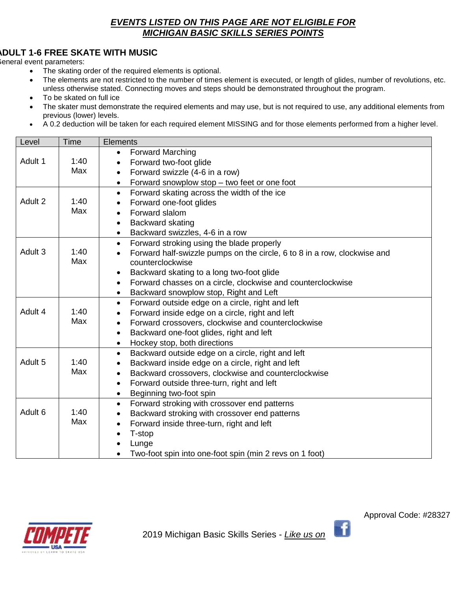# *EVENTS LISTED ON THIS PAGE ARE NOT ELIGIBLE FOR MICHIGAN BASIC SKILLS SERIES POINTS*

# **ADULT 1-6 FREE SKATE WITH MUSIC**

General event parameters:

- The skating order of the required elements is optional.
- The elements are not restricted to the number of times element is executed, or length of glides, number of revolutions, etc. unless otherwise stated. Connecting moves and steps should be demonstrated throughout the program.
- To be skated on full ice
- The skater must demonstrate the required elements and may use, but is not required to use, any additional elements from previous (lower) levels.
- A 0.2 deduction will be taken for each required element MISSING and for those elements performed from a higher level.

| Level              | Time        | Elements                                                                                                                                                                                                                                                                                                                               |
|--------------------|-------------|----------------------------------------------------------------------------------------------------------------------------------------------------------------------------------------------------------------------------------------------------------------------------------------------------------------------------------------|
| Adult 1            | 1:40<br>Max | <b>Forward Marching</b><br>Forward two-foot glide<br>Forward swizzle (4-6 in a row)<br>$\bullet$                                                                                                                                                                                                                                       |
|                    |             | Forward snowplow stop - two feet or one foot<br>$\bullet$                                                                                                                                                                                                                                                                              |
| Adult 2            | 1:40<br>Max | Forward skating across the width of the ice<br>$\bullet$<br>Forward one-foot glides<br>Forward slalom<br>Backward skating<br>$\bullet$<br>Backward swizzles, 4-6 in a row<br>$\bullet$                                                                                                                                                 |
| Adult 3            | 1:40<br>Max | Forward stroking using the blade properly<br>$\bullet$<br>Forward half-swizzle pumps on the circle, 6 to 8 in a row, clockwise and<br>counterclockwise<br>Backward skating to a long two-foot glide<br>$\bullet$<br>Forward chasses on a circle, clockwise and counterclockwise<br>$\bullet$<br>Backward snowplow stop, Right and Left |
| Adult 4            | 1:40<br>Max | Forward outside edge on a circle, right and left<br>$\bullet$<br>Forward inside edge on a circle, right and left<br>Forward crossovers, clockwise and counterclockwise<br>Backward one-foot glides, right and left<br>Hockey stop, both directions<br>$\bullet$                                                                        |
| Adult 5            | 1:40<br>Max | Backward outside edge on a circle, right and left<br>$\bullet$<br>Backward inside edge on a circle, right and left<br>Backward crossovers, clockwise and counterclockwise<br>Forward outside three-turn, right and left<br>Beginning two-foot spin<br>$\bullet$                                                                        |
| Adult <sub>6</sub> | 1:40<br>Max | Forward stroking with crossover end patterns<br>$\bullet$<br>Backward stroking with crossover end patterns<br>Forward inside three-turn, right and left<br>$\bullet$<br>T-stop<br>Lunge<br>Two-foot spin into one-foot spin (min 2 revs on 1 foot)                                                                                     |





-fi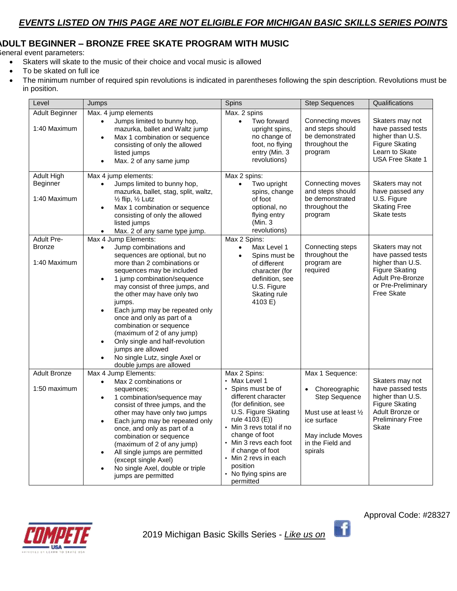## **ADULT BEGINNER – BRONZE FREE SKATE PROGRAM WITH MUSIC**

General event parameters:

- Skaters will skate to the music of their choice and vocal music is allowed
- To be skated on full ice
- The minimum number of required spin revolutions is indicated in parentheses following the spin description. Revolutions must be in position.

| Level                                              | Jumps                                                                                                                                                                                                                                                                                                                                                                                                                                                                                                                                                                  | <b>Spins</b>                                                                                                                                                                                                                                                                                                       | <b>Step Sequences</b>                                                                                                                                | Qualifications                                                                                                                            |
|----------------------------------------------------|------------------------------------------------------------------------------------------------------------------------------------------------------------------------------------------------------------------------------------------------------------------------------------------------------------------------------------------------------------------------------------------------------------------------------------------------------------------------------------------------------------------------------------------------------------------------|--------------------------------------------------------------------------------------------------------------------------------------------------------------------------------------------------------------------------------------------------------------------------------------------------------------------|------------------------------------------------------------------------------------------------------------------------------------------------------|-------------------------------------------------------------------------------------------------------------------------------------------|
| Adult Beginner<br>1:40 Maximum                     | Max. 4 jump elements<br>Jumps limited to bunny hop,<br>$\bullet$<br>mazurka, ballet and Waltz jump<br>Max 1 combination or sequence<br>$\bullet$<br>consisting of only the allowed<br>listed jumps<br>Max. 2 of any same jump<br>$\bullet$                                                                                                                                                                                                                                                                                                                             | Max. 2 spins<br>Two forward<br>$\bullet$<br>upright spins,<br>no change of<br>foot, no flying<br>entry (Min. 3<br>revolutions)                                                                                                                                                                                     | Connecting moves<br>and steps should<br>be demonstrated<br>throughout the<br>program                                                                 | Skaters may not<br>have passed tests<br>higher than U.S.<br><b>Figure Skating</b><br>Learn to Skate<br><b>USA Free Skate 1</b>            |
| Adult High<br>Beginner<br>1:40 Maximum             | Max 4 jump elements:<br>Jumps limited to bunny hop,<br>$\bullet$<br>mazurka, ballet, stag, split, waltz,<br>$\frac{1}{2}$ flip, $\frac{1}{2}$ Lutz<br>Max 1 combination or sequence<br>$\bullet$<br>consisting of only the allowed<br>listed jumps<br>Max. 2 of any same type jump.                                                                                                                                                                                                                                                                                    | Max 2 spins:<br>Two upright<br>$\bullet$<br>spins, change<br>of foot<br>optional, no<br>flying entry<br>(Min. 3<br>revolutions)                                                                                                                                                                                    | Connecting moves<br>and steps should<br>be demonstrated<br>throughout the<br>program                                                                 | Skaters may not<br>have passed any<br>U.S. Figure<br><b>Skating Free</b><br>Skate tests                                                   |
| <b>Adult Pre-</b><br><b>Bronze</b><br>1:40 Maximum | Max 4 Jump Elements:<br>Jump combinations and<br>$\bullet$<br>sequences are optional, but no<br>more than 2 combinations or<br>sequences may be included<br>1 jump combination/sequence<br>$\bullet$<br>may consist of three jumps, and<br>the other may have only two<br>jumps.<br>Each jump may be repeated only<br>$\bullet$<br>once and only as part of a<br>combination or sequence<br>(maximum of 2 of any jump)<br>Only single and half-revolution<br>$\bullet$<br>jumps are allowed<br>No single Lutz, single Axel or<br>$\bullet$<br>double jumps are allowed | Max 2 Spins:<br>Max Level 1<br>$\bullet$<br>Spins must be<br>$\bullet$<br>of different<br>character (for<br>definition, see<br>U.S. Figure<br>Skating rule<br>4103 E)                                                                                                                                              | Connecting steps<br>throughout the<br>program are<br>required                                                                                        | Skaters may not<br>have passed tests<br>higher than U.S.<br><b>Figure Skating</b><br>Adult Pre-Bronze<br>or Pre-Preliminary<br>Free Skate |
| <b>Adult Bronze</b><br>1:50 maximum                | Max 4 Jump Elements:<br>Max 2 combinations or<br>$\bullet$<br>sequences;<br>1 combination/sequence may<br>$\bullet$<br>consist of three jumps, and the<br>other may have only two jumps<br>Each jump may be repeated only<br>$\bullet$<br>once, and only as part of a<br>combination or sequence<br>(maximum of 2 of any jump)<br>All single jumps are permitted<br>$\bullet$<br>(except single Axel)<br>No single Axel, double or triple<br>$\bullet$<br>jumps are permitted                                                                                          | Max 2 Spins:<br>• Max Level 1<br>• Spins must be of<br>different character<br>(for definition, see<br>U.S. Figure Skating<br>rule 4103 (E))<br>• Min 3 revs total if no<br>change of foot<br>• Min 3 revs each foot<br>if change of foot<br>• Min 2 revs in each<br>position<br>• No flying spins are<br>permitted | Max 1 Sequence:<br>Choreographic<br><b>Step Sequence</b><br>Must use at least 1/2<br>ice surface<br>May include Moves<br>in the Field and<br>spirals | Skaters may not<br>have passed tests<br>higher than U.S.<br>Figure Skating<br>Adult Bronze or<br><b>Preliminary Free</b><br>Skate         |





f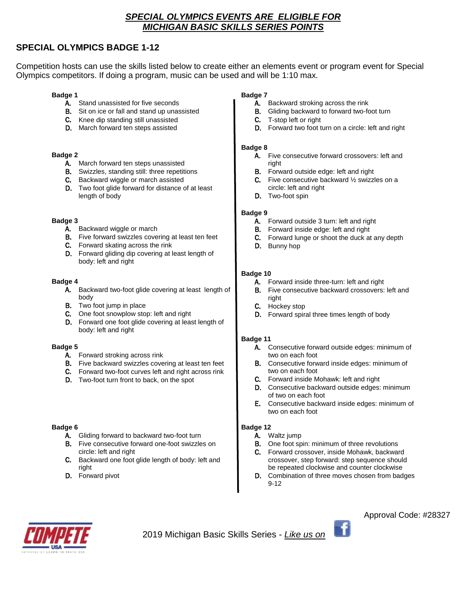## *SPECIAL OLYMPICS EVENTS ARE ELIGIBLE FOR MICHIGAN BASIC SKILLS SERIES POINTS*

## **SPECIAL OLYMPICS BADGE 1-12**

Competition hosts can use the skills listed below to create either an elements event or program event for Special Olympics competitors. If doing a program, music can be used and will be 1:10 max.

### **Badge 1**

- A. Stand unassisted for five seconds
- **B.** Sit on ice or fall and stand up unassisted
- C. Knee dip standing still unassisted
- D. March forward ten steps assisted

#### **Badge 2**

- A. March forward ten steps unassisted
- B. Swizzles, standing still: three repetitions
- C. Backward wiggle or march assisted
- D. Two foot glide forward for distance of at least length of body

#### **Badge 3**

- A. Backward wiggle or march
- B. Five forward swizzles covering at least ten feet
- C. Forward skating across the rink
- D. Forward gliding dip covering at least length of body: left and right

### **Badge 4**

- A. Backward two-foot glide covering at least length of body
- B. Two foot jump in place
- C. One foot snowplow stop: left and right
- D. Forward one foot glide covering at least length of body: left and right

#### **Badge 5**

- A. Forward stroking across rink
- B. Five backward swizzles covering at least ten feet
- C. Forward two-foot curves left and right across rink
- D. Two-foot turn front to back, on the spot

### **Badge 6**

- A. Gliding forward to backward two-foot turn
- B. Five consecutive forward one-foot swizzles on circle: left and right
- C. Backward one foot glide length of body: left and right
- D. Forward pivot

### **Badge 7**

- A. Backward stroking across the rink
- B. Gliding backward to forward two-foot turn
- C. T-stop left or right
- D. Forward two foot turn on a circle: left and right

#### **Badge 8**

- A. Five consecutive forward crossovers: left and right
- B. Forward outside edge: left and right
- C. Five consecutive backward ½ swizzles on a circle: left and right
- D. Two-foot spin

### **Badge 9**

- A. Forward outside 3 turn: left and right
- B. Forward inside edge: left and right
- C. Forward lunge or shoot the duck at any depth
- D. Bunny hop

### **Badge 10**

- A. Forward inside three-turn: left and right
- B. Five consecutive backward crossovers: left and right
- C. Hockey stop
- D. Forward spiral three times length of body

### **Badge 11**

- A. Consecutive forward outside edges: minimum of two on each foot
- B. Consecutive forward inside edges: minimum of two on each foot
- C. Forward inside Mohawk: left and right
- D. Consecutive backward outside edges: minimum of two on each foot
- E. Consecutive backward inside edges: minimum of two on each foot

### **Badge 12**

- A. Waltz jump
- B. One foot spin: minimum of three revolutions
- C. Forward crossover, inside Mohawk, backward crossover, step forward: step sequence should be repeated clockwise and counter clockwise
- D. Combination of three moves chosen from badges 9-12



2019 Michigan Basic Skills Series - *Like us on* 

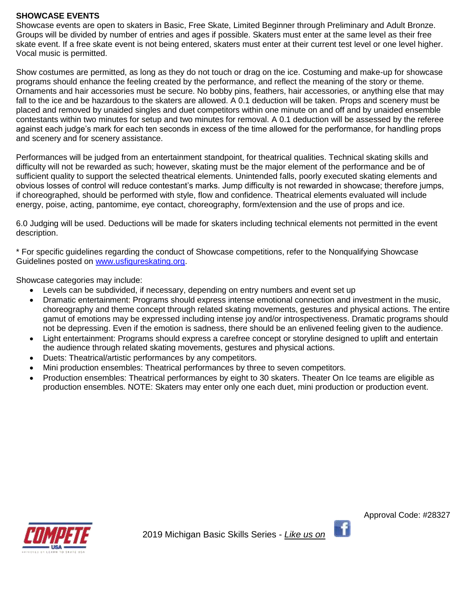## **SHOWCASE EVENTS**

Showcase events are open to skaters in Basic, Free Skate, Limited Beginner through Preliminary and Adult Bronze. Groups will be divided by number of entries and ages if possible. Skaters must enter at the same level as their free skate event. If a free skate event is not being entered, skaters must enter at their current test level or one level higher. Vocal music is permitted.

Show costumes are permitted, as long as they do not touch or drag on the ice. Costuming and make-up for showcase programs should enhance the feeling created by the performance, and reflect the meaning of the story or theme. Ornaments and hair accessories must be secure. No bobby pins, feathers, hair accessories, or anything else that may fall to the ice and be hazardous to the skaters are allowed. A 0.1 deduction will be taken. Props and scenery must be placed and removed by unaided singles and duet competitors within one minute on and off and by unaided ensemble contestants within two minutes for setup and two minutes for removal. A 0.1 deduction will be assessed by the referee against each judge's mark for each ten seconds in excess of the time allowed for the performance, for handling props and scenery and for scenery assistance.

Performances will be judged from an entertainment standpoint, for theatrical qualities. Technical skating skills and difficulty will not be rewarded as such; however, skating must be the major element of the performance and be of sufficient quality to support the selected theatrical elements. Unintended falls, poorly executed skating elements and obvious losses of control will reduce contestant's marks. Jump difficulty is not rewarded in showcase; therefore jumps, if choreographed, should be performed with style, flow and confidence. Theatrical elements evaluated will include energy, poise, acting, pantomime, eye contact, choreography, form/extension and the use of props and ice.

6.0 Judging will be used. Deductions will be made for skaters including technical elements not permitted in the event description.

\* For specific guidelines regarding the conduct of Showcase competitions, refer to the Nonqualifying Showcase Guidelines posted on [www.usfigureskating.org.](http://www.usfigureskating.org/)

Showcase categories may include:

- Levels can be subdivided, if necessary, depending on entry numbers and event set up
- Dramatic entertainment: Programs should express intense emotional connection and investment in the music, choreography and theme concept through related skating movements, gestures and physical actions. The entire gamut of emotions may be expressed including intense joy and/or introspectiveness. Dramatic programs should not be depressing. Even if the emotion is sadness, there should be an enlivened feeling given to the audience.
- Light entertainment: Programs should express a carefree concept or storyline designed to uplift and entertain the audience through related skating movements, gestures and physical actions.
- Duets: Theatrical/artistic performances by any competitors.
- Mini production ensembles: Theatrical performances by three to seven competitors.
- Production ensembles: Theatrical performances by eight to 30 skaters. Theater On Ice teams are eligible as production ensembles. NOTE: Skaters may enter only one each duet, mini production or production event.



÷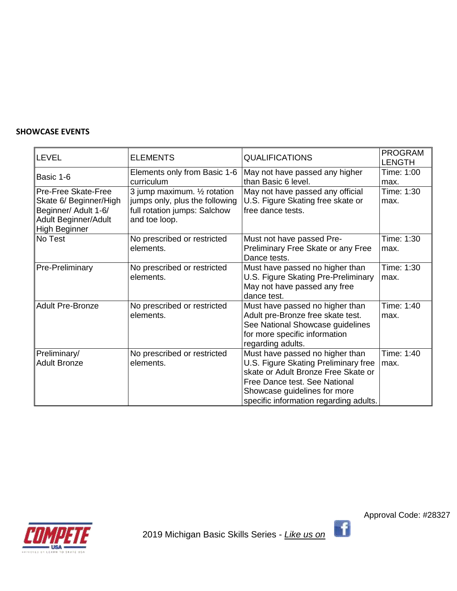## **SHOWCASE EVENTS**

| <b>LEVEL</b>                                                                                                          | <b>ELEMENTS</b>                                                                                                 | <b>QUALIFICATIONS</b>                                                                                                                                                                                                     | <b>PROGRAM</b><br><b>LENGTH</b> |
|-----------------------------------------------------------------------------------------------------------------------|-----------------------------------------------------------------------------------------------------------------|---------------------------------------------------------------------------------------------------------------------------------------------------------------------------------------------------------------------------|---------------------------------|
| Basic 1-6                                                                                                             | Elements only from Basic 1-6<br>curriculum                                                                      | May not have passed any higher<br>than Basic 6 level.                                                                                                                                                                     | Time: 1:00<br>max.              |
| Pre-Free Skate-Free<br>Skate 6/ Beginner/High<br>Beginner/ Adult 1-6/<br>Adult Beginner/Adult<br><b>High Beginner</b> | 3 jump maximum. 1/2 rotation<br>jumps only, plus the following<br>full rotation jumps: Salchow<br>and toe loop. | May not have passed any official<br>U.S. Figure Skating free skate or<br>free dance tests.                                                                                                                                | Time: 1:30<br>max.              |
| No Test                                                                                                               | No prescribed or restricted<br>elements.                                                                        | Must not have passed Pre-<br>Preliminary Free Skate or any Free<br>Dance tests.                                                                                                                                           | Time: 1:30<br>max.              |
| Pre-Preliminary                                                                                                       | No prescribed or restricted<br>elements.                                                                        | Must have passed no higher than<br>U.S. Figure Skating Pre-Preliminary<br>May not have passed any free<br>dance test.                                                                                                     | Time: 1:30<br>max.              |
| <b>Adult Pre-Bronze</b>                                                                                               | No prescribed or restricted<br>elements.                                                                        | Must have passed no higher than<br>Adult pre-Bronze free skate test.<br>See National Showcase guidelines<br>for more specific information<br>regarding adults.                                                            | Time: 1:40<br>max.              |
| Preliminary/<br><b>Adult Bronze</b>                                                                                   | No prescribed or restricted<br>elements.                                                                        | Must have passed no higher than<br>U.S. Figure Skating Preliminary free<br>skate or Adult Bronze Free Skate or<br>Free Dance test. See National<br>Showcase guidelines for more<br>specific information regarding adults. | Time: 1:40<br>max.              |

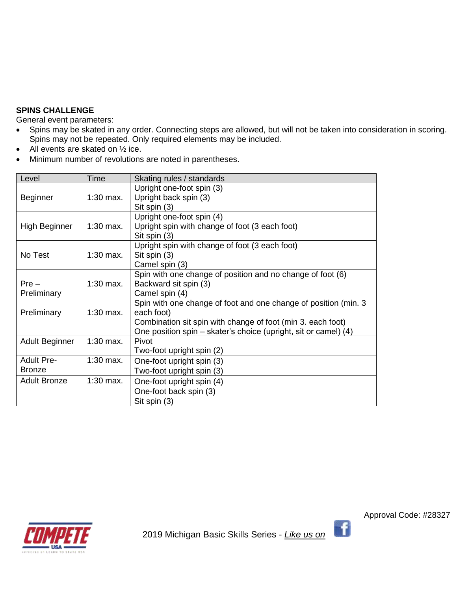## **SPINS CHALLENGE**

General event parameters:

- Spins may be skated in any order. Connecting steps are allowed, but will not be taken into consideration in scoring. Spins may not be repeated. Only required elements may be included.
- All events are skated on 1/2 ice.
- Minimum number of revolutions are noted in parentheses.

| Level                 | Time        | Skating rules / standards                                        |
|-----------------------|-------------|------------------------------------------------------------------|
|                       |             | Upright one-foot spin (3)                                        |
| <b>Beginner</b>       | $1:30$ max. | Upright back spin (3)                                            |
|                       |             | Sit spin (3)                                                     |
|                       |             | Upright one-foot spin (4)                                        |
| High Beginner         | $1:30$ max. | Upright spin with change of foot (3 each foot)                   |
|                       |             | Sit spin (3)                                                     |
|                       |             | Upright spin with change of foot (3 each foot)                   |
| No Test               | $1:30$ max. | Sit spin (3)                                                     |
|                       |             | Camel spin (3)                                                   |
|                       |             | Spin with one change of position and no change of foot (6)       |
| $Pre -$               | $1:30$ max. | Backward sit spin (3)                                            |
| Preliminary           |             | Camel spin (4)                                                   |
|                       |             | Spin with one change of foot and one change of position (min. 3) |
| Preliminary           | $1:30$ max. | each foot)                                                       |
|                       |             | Combination sit spin with change of foot (min 3. each foot)      |
|                       |             | One position spin - skater's choice (upright, sit or camel) (4)  |
| <b>Adult Beginner</b> | $1:30$ max. | Pivot                                                            |
|                       |             | Two-foot upright spin (2)                                        |
| <b>Adult Pre-</b>     | $1:30$ max. | One-foot upright spin (3)                                        |
| <b>Bronze</b>         |             | Two-foot upright spin (3)                                        |
| <b>Adult Bronze</b>   | $1:30$ max. | One-foot upright spin (4)                                        |
|                       |             | One-foot back spin (3)                                           |
|                       |             | Sit spin (3)                                                     |



Approval Code: #28327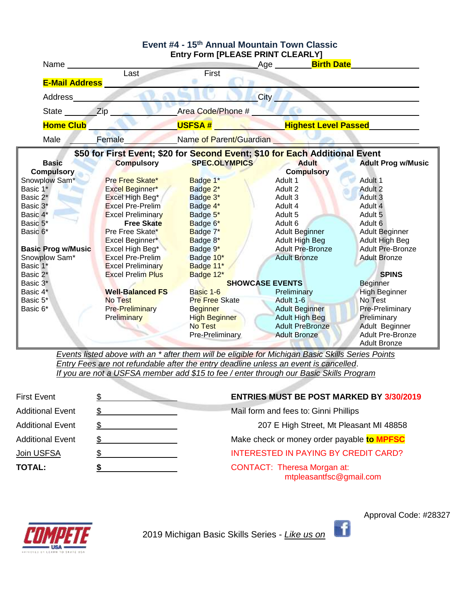

*Events listed above with an \* after them will be eligible for Michigan Basic Skills Series Points Entry Fees are not refundable after the entry deadline unless an event is cancelled*. *If you are not a USFSA member add \$15 to fee / enter through our Basic Skills Program*

| <b>First Event</b>      | <b>ENTRIES MUST BE POST MARKED BY 3/30/2019</b>               |
|-------------------------|---------------------------------------------------------------|
| <b>Additional Event</b> | Mail form and fees to: Ginni Phillips                         |
| <b>Additional Event</b> | 207 E High Street, Mt Pleasant MI 48858                       |
| <b>Additional Event</b> | Make check or money order payable to MPFSC                    |
| Join USFSA              | <b>INTERESTED IN PAYING BY CREDIT CARD?</b>                   |
| <b>TOTAL:</b>           | <b>CONTACT: Theresa Morgan at:</b><br>mtpleasantfsc@gmail.com |



2019 Michigan Basic Skills Series - *Like us on*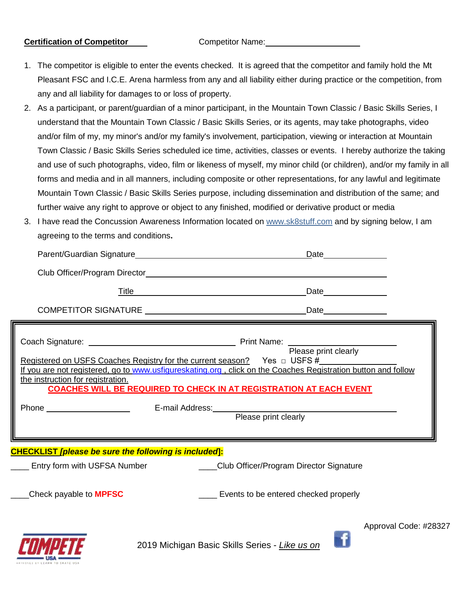## **Certification of Competitor** Competitor Competitor Name:

- 1. The competitor is eligible to enter the events checked. It is agreed that the competitor and family hold the Mt Pleasant FSC and I.C.E. Arena harmless from any and all liability either during practice or the competition, from any and all liability for damages to or loss of property.
- 2. As a participant, or parent/guardian of a minor participant, in the Mountain Town Classic / Basic Skills Series, I understand that the Mountain Town Classic / Basic Skills Series, or its agents, may take photographs, video and/or film of my, my minor's and/or my family's involvement, participation, viewing or interaction at Mountain Town Classic / Basic Skills Series scheduled ice time, activities, classes or events. I hereby authorize the taking and use of such photographs, video, film or likeness of myself, my minor child (or children), and/or my family in all forms and media and in all manners, including composite or other representations, for any lawful and legitimate Mountain Town Classic / Basic Skills Series purpose, including dissemination and distribution of the same; and further waive any right to approve or object to any finished, modified or derivative product or media
- 3. I have read the Concussion Awareness Information located on [www.sk8stuff.com](http://www.sk8stuff.com/) and by signing below, I am agreeing to the terms and conditions**.**

|                                                                                                                                                                                                                                |                                                               |                                                                                      | Date and the state of the state of the state of the state of the state of the state of the state of the state o |
|--------------------------------------------------------------------------------------------------------------------------------------------------------------------------------------------------------------------------------|---------------------------------------------------------------|--------------------------------------------------------------------------------------|-----------------------------------------------------------------------------------------------------------------|
|                                                                                                                                                                                                                                |                                                               |                                                                                      |                                                                                                                 |
| Title                                                                                                                                                                                                                          | <u> 1980 - Johann Barn, mars an t-Amerikaansk politiker (</u> |                                                                                      | Date_______________                                                                                             |
|                                                                                                                                                                                                                                |                                                               |                                                                                      |                                                                                                                 |
| Registered on USFS Coaches Registry for the current season? Yes n USFS #<br>If you are not registered, go to www.usfigureskating.org, click on the Coaches Registration button and follow<br>the instruction for registration. |                                                               | <b>COACHES WILL BE REQUIRED TO CHECK IN AT REGISTRATION AT EACH EVENT</b>            |                                                                                                                 |
| <b>CHECKLIST</b> [please be sure the following is included]:                                                                                                                                                                   |                                                               | Entry form with USFSA Number ________________Club Officer/Program Director Signature |                                                                                                                 |
| Check payable to <b>MPFSC</b>                                                                                                                                                                                                  |                                                               | Events to be entered checked properly                                                |                                                                                                                 |
|                                                                                                                                                                                                                                |                                                               |                                                                                      | Approval Code: #28327                                                                                           |